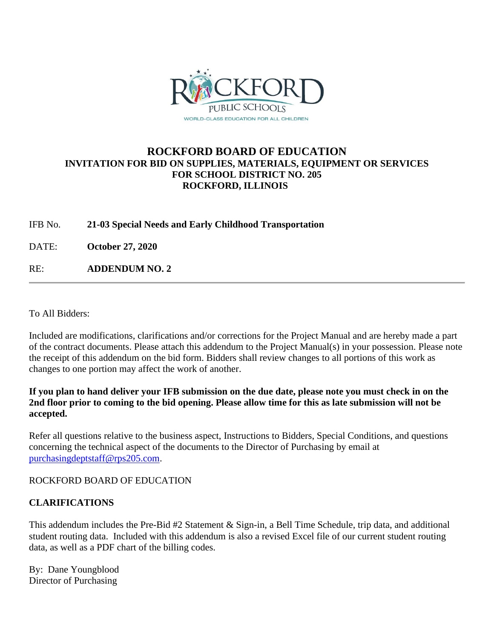

## **ROCKFORD BOARD OF EDUCATION INVITATION FOR BID ON SUPPLIES, MATERIALS, EQUIPMENT OR SERVICES FOR SCHOOL DISTRICT NO. 205 ROCKFORD, ILLINOIS**

IFB No. **21-03 Special Needs and Early Childhood Transportation**

DATE: **October 27, 2020**

RE: **ADDENDUM NO. 2**

To All Bidders:

Included are modifications, clarifications and/or corrections for the Project Manual and are hereby made a part of the contract documents. Please attach this addendum to the Project Manual(s) in your possession. Please note the receipt of this addendum on the bid form. Bidders shall review changes to all portions of this work as changes to one portion may affect the work of another.

### **If you plan to hand deliver your IFB submission on the due date, please note you must check in on the 2nd floor prior to coming to the bid opening. Please allow time for this as late submission will not be accepted.**

Refer all questions relative to the business aspect, Instructions to Bidders, Special Conditions, and questions concerning the technical aspect of the documents to the Director of Purchasing by email at [purchasingdeptstaff@rps205.com.](mailto:purchasingdeptstaff@rps205.com)

ROCKFORD BOARD OF EDUCATION

### **CLARIFICATIONS**

This addendum includes the Pre-Bid #2 Statement & Sign-in, a Bell Time Schedule, trip data, and additional student routing data. Included with this addendum is also a revised Excel file of our current student routing data, as well as a PDF chart of the billing codes.

By: Dane Youngblood Director of Purchasing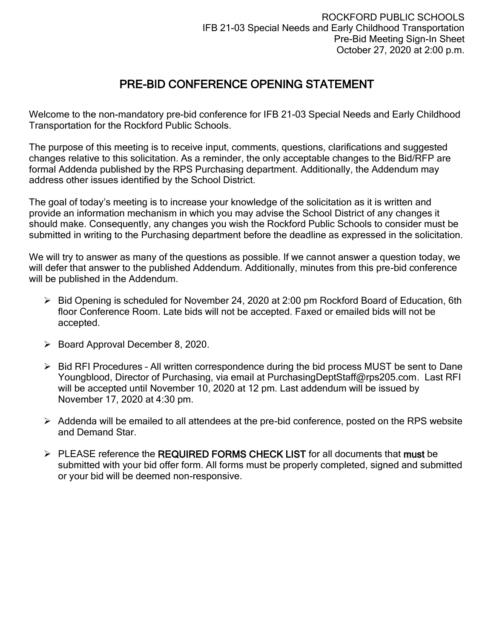# PRE-BID CONFERENCE OPENING STATEMENT

Welcome to the non-mandatory pre-bid conference for IFB 21-03 Special Needs and Early Childhood Transportation for the Rockford Public Schools.

The purpose of this meeting is to receive input, comments, questions, clarifications and suggested changes relative to this solicitation. As a reminder, the only acceptable changes to the Bid/RFP are formal Addenda published by the RPS Purchasing department. Additionally, the Addendum may address other issues identified by the School District.

The goal of today's meeting is to increase your knowledge of the solicitation as it is written and provide an information mechanism in which you may advise the School District of any changes it should make. Consequently, any changes you wish the Rockford Public Schools to consider must be submitted in writing to the Purchasing department before the deadline as expressed in the solicitation.

We will try to answer as many of the questions as possible. If we cannot answer a question today, we will defer that answer to the published Addendum. Additionally, minutes from this pre-bid conference will be published in the Addendum.

- ➢ Bid Opening is scheduled for November 24, 2020 at 2:00 pm Rockford Board of Education, 6th floor Conference Room. Late bids will not be accepted. Faxed or emailed bids will not be accepted.
- ➢ Board Approval December 8, 2020.
- ➢ Bid RFI Procedures All written correspondence during the bid process MUST be sent to Dane Youngblood, Director of Purchasing, via email at PurchasingDeptStaff@rps205.com. Last RFI will be accepted until November 10, 2020 at 12 pm. Last addendum will be issued by November 17, 2020 at 4:30 pm.
- ➢ Addenda will be emailed to all attendees at the pre-bid conference, posted on the RPS website and Demand Star.
- $\triangleright$  PLEASE reference the REQUIRED FORMS CHECK LIST for all documents that must be submitted with your bid offer form. All forms must be properly completed, signed and submitted or your bid will be deemed non-responsive.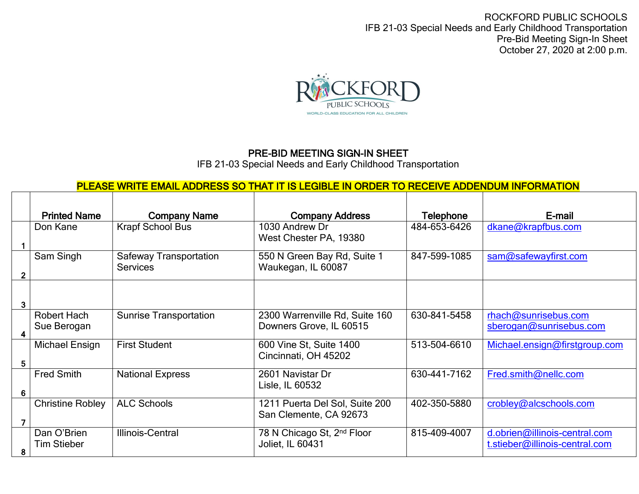ROCKFORD PUBLIC SCHOOLS IFB 21-03 Special Needs and Early Childhood Transportation Pre-Bid Meeting Sign-In Sheet October 27, 2020 at 2:00 p.m.



## PRE-BID MEETING SIGN-IN SHEET

IFB 21-03 Special Needs and Early Childhood Transportation

# PLEASE WRITE EMAIL ADDRESS SO THAT IT IS LEGIBLE IN ORDER TO RECEIVE ADDENDUM INFORMATION

|   | <b>Printed Name</b>               | <b>Company Name</b>                              | <b>Company Address</b>                                     | <b>Telephone</b> | E-mail                                                          |
|---|-----------------------------------|--------------------------------------------------|------------------------------------------------------------|------------------|-----------------------------------------------------------------|
|   | Don Kane                          | <b>Krapf School Bus</b>                          | 1030 Andrew Dr<br>West Chester PA, 19380                   | 484-653-6426     | dkane@krapfbus.com                                              |
|   | Sam Singh                         | <b>Safeway Transportation</b><br><b>Services</b> | 550 N Green Bay Rd, Suite 1<br>Waukegan, IL 60087          | 847-599-1085     | sam@safewayfirst.com                                            |
| 3 |                                   |                                                  |                                                            |                  |                                                                 |
| 4 | Robert Hach<br>Sue Berogan        | <b>Sunrise Transportation</b>                    | 2300 Warrenville Rd, Suite 160<br>Downers Grove, IL 60515  | 630-841-5458     | rhach@sunrisebus.com<br>sberogan@sunrisebus.com                 |
| 5 | Michael Ensign                    | <b>First Student</b>                             | 600 Vine St, Suite 1400<br>Cincinnati, OH 45202            | 513-504-6610     | Michael.ensign@firstgroup.com                                   |
| 6 | <b>Fred Smith</b>                 | <b>National Express</b>                          | 2601 Navistar Dr<br>Lisle, IL 60532                        | 630-441-7162     | Fred.smith@nellc.com                                            |
|   | <b>Christine Robley</b>           | <b>ALC Schools</b>                               | 1211 Puerta Del Sol, Suite 200<br>San Clemente, CA 92673   | 402-350-5880     | crobley@alcschools.com                                          |
| 8 | Dan O'Brien<br><b>Tim Stieber</b> | Illinois-Central                                 | 78 N Chicago St, 2 <sup>nd</sup> Floor<br>Joliet, IL 60431 | 815-409-4007     | d.obrien@illinois-central.com<br>t.stieber@illinois-central.com |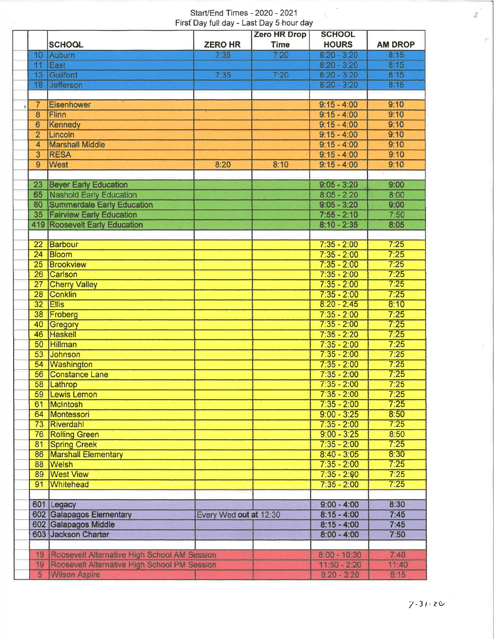#### Start/End Times - 2020 - 2021 First Day full day - Last Day 5 hour day

 $\rightarrow$ 

|                 |                                              |                        | <b>Zero HR Drop</b> | <b>SCHOOL</b>  |                |
|-----------------|----------------------------------------------|------------------------|---------------------|----------------|----------------|
|                 | <b>SCHOOL</b>                                | <b>ZERO HR</b>         | <b>Time</b>         | <b>HOURS</b>   | <b>AM DROP</b> |
| 10              | Auburn                                       | 7.35                   | 7.20                | $8:20 - 3:20$  | 8.15           |
| 11              | East                                         |                        |                     | $8:20 - 3:20$  | 8:15           |
|                 | 13 Guilford                                  | 7:35                   | 7:20                | $8:20 - 3:20$  | 8:15           |
| 18              | Jefferson                                    |                        |                     | $8:20 - 3:20$  | 8:15           |
|                 |                                              |                        |                     |                |                |
| $\overline{7}$  | <b>Eisenhower</b>                            |                        |                     | $9:15 - 4:00$  | 9:10           |
| 8               | <b>Flinn</b>                                 |                        |                     | $9:15 - 4:00$  | 9:10           |
| 6               | <b>Kennedy</b>                               |                        |                     | $9:15 - 4:00$  | 9:10           |
| $\overline{2}$  | Lincoln                                      |                        |                     | $9:15 - 4:00$  | 9:10           |
| 4               | <b>Marshall Middle</b>                       |                        |                     | $9:15 - 4:00$  | 9:10           |
| 3               | <b>RESA</b>                                  |                        |                     | $9:15 - 4:00$  | 9:10           |
| 9               | <b>West</b>                                  | 8:20                   | 8:10                | $9:15 - 4:00$  | 9:10           |
|                 |                                              |                        |                     |                |                |
| 23              | <b>Beyer Early Education</b>                 |                        |                     | $9:05 - 3:20$  | 9:00           |
|                 | 65 Nashold Early Education                   |                        |                     | $8:05 - 2:20$  | 8:00           |
| 80              | <b>Summerdale Early Education</b>            |                        |                     | $9:05 - 3:20$  | 9:00           |
| 35 <sub>2</sub> | <b>Fairview Early Education</b>              |                        |                     | $7:55 - 2:10$  | 7:50           |
|                 | <b>419 Roosevelt Early Education</b>         |                        |                     | $8:10 - 2:35$  | 8:05           |
|                 |                                              |                        |                     |                |                |
| 22 <sub>2</sub> | Barbour                                      |                        |                     | $7:35 - 2:00$  | 7:25           |
| 24              | Bloom                                        |                        |                     | $7:35 - 2:00$  | 7:25           |
| 25              | Brookview                                    |                        |                     | $7:35 - 2:00$  | 7:25           |
| 26              | Carlson                                      |                        |                     | $7:35 - 2:00$  | 7:25           |
| 27              | <b>Cherry Valley</b>                         |                        |                     | $7:35 - 2:00$  | 7:25           |
| 28              | <b>Conklin</b>                               |                        |                     | $7:35 - 2:00$  | 7:25           |
| 32              | Ellis                                        |                        |                     | $8:20 - 2:45$  | 8:10           |
| 38              | Froberg                                      |                        |                     | $7:35 - 2:00$  | 7:25           |
| 40              | Gregory                                      |                        |                     | $7:35 - 2:00$  | 7:25           |
| 46              | Haskell                                      |                        |                     | $7:35 - 2:20$  | 7:25           |
| 50 <sup>°</sup> | <b>Hillman</b>                               |                        |                     | $7:35 - 2:00$  | 7:25           |
| 53              | Johnson                                      |                        |                     | $7:35 - 2:00$  | 7:25           |
| 54              | Washington                                   |                        |                     | $7:35 - 2:00$  | 7:25           |
| 56              | <b>Constance Lane</b>                        |                        |                     | $7:35 - 2:00$  | 7:25           |
| 58              | Lathrop                                      |                        |                     | $7:35 - 2:00$  | 7:25           |
| 59              | Lewis Lemon                                  |                        |                     | $7:35 - 2:00$  | 7:25           |
| 61              | McIntosh                                     |                        |                     | $7:35 - 2:00$  | 7:25           |
|                 | 64 Montessori                                |                        |                     | $9:00 - 3:25$  | 8:50           |
|                 | 73 Riverdahl                                 |                        |                     | $7:35 - 2:00$  | 7:25           |
|                 | 76 Rolling Green                             |                        |                     | $9:00 - 3:25$  | 8:50           |
| 81              | <b>Spring Creek</b>                          |                        |                     | $7:35 - 2:00$  | 7:25           |
| 86              | <b>Marshall Elementary</b>                   |                        |                     | $8:40 - 3:05$  | 8:30           |
| 88              | <b>Welsh</b>                                 |                        |                     | $7:35 - 2:00$  | 7:25           |
| 89              | <b>West View</b>                             |                        |                     | $7:35 - 2:00$  | 7:25           |
| 91              | <b>Whitehead</b>                             |                        |                     | $7:35 - 2:00$  | 7:25           |
|                 |                                              |                        |                     |                |                |
|                 | 601 Legacy                                   |                        |                     | $9:00 - 4:00$  | 8:30           |
|                 | 602 Galapagos Elementary                     | Every Wed out at 12:30 |                     | $8:15 - 4:00$  | 7:45           |
|                 | 602 Galapagos Middle                         |                        |                     | $8:15 - 4:00$  | 7:45           |
|                 | 603 Jackson Charter                          |                        |                     | $8:00 - 4:00$  | 7:50           |
|                 |                                              |                        |                     |                |                |
| 19 <sup>°</sup> | Roosevelt Alternative High School AM Session |                        |                     | $8:00 - 10:30$ | 7:40           |
| 19              | Roosevelt Alternative High School PM Session |                        |                     | $11:50 - 2:20$ | 11:40          |
| $5\overline{)}$ | <b>Wilson Aspire</b>                         |                        |                     | $8:20 - 3:20$  | 8:15           |

定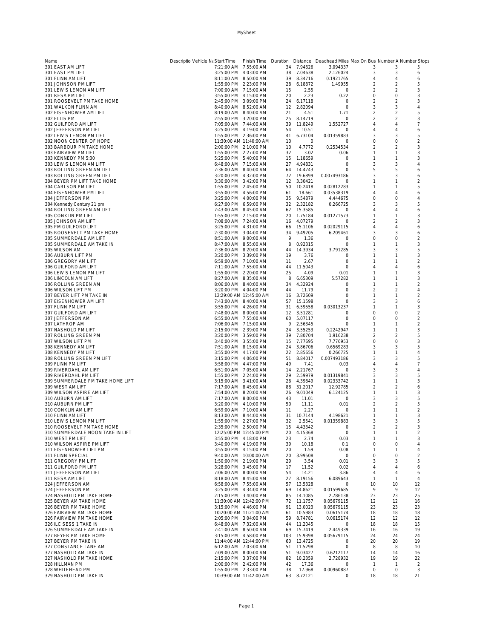| Name                                                     | Descriptio Vehicle Na Start Time                | Finish Time             |          |                          | Duration Distance Deadhead Miles Max On Bus Number A Number Stops |                                  |                           |                     |
|----------------------------------------------------------|-------------------------------------------------|-------------------------|----------|--------------------------|-------------------------------------------------------------------|----------------------------------|---------------------------|---------------------|
| 301 EAST AM LIFT                                         | 7:21:00 AM 7:55:00 AM                           |                         | 34       | 7.94626                  | 3.094337                                                          | 3                                | 3                         | 5                   |
| 301 EAST PM LIFT<br>301 FLINN AM LIFT                    | 3:25:00 PM 4:03:00 PM<br>8:11:00 AM  8:50:00 AM |                         | 38<br>39 | 7.04638<br>8.34716       | 2.126024<br>0.1921765                                             | 3<br>$\overline{4}$              | 3<br>4                    | 6<br>6              |
| 301 JOHNSON PM LIFT                                      | 1:55:00 PM 2:23:00 PM                           |                         | 28       | 6.18872                  | 1.49955                                                           | $\overline{2}$                   | $\overline{2}$            | 5                   |
| 301 LEWIS LEMON AM LIFT                                  | 7:00:00 AM 7:15:00 AM                           |                         | 15       | 2.55                     | $\circ$                                                           | $\overline{2}$                   | $\overline{2}$            | 3                   |
| 301 RESA PM LIFT                                         | 3:55:00 PM 4:15:00 PM                           |                         | 20       | 2.23                     | 0.22                                                              | $\circ$                          | $\circ$                   | 3                   |
| 301 ROOSEVELT PM TAKE HOME<br>301 WALKON FLINN AM        | 2:45:00 PM 3:09:00 PM                           |                         | 24<br>12 | 6.17118                  | $\circ$                                                           | $\overline{2}$<br>3              | $\overline{2}$<br>3       | 3<br>4              |
| 302 EISENHOWER AM LIFT                                   | 8:40:00 AM 8:52:00 AM<br>8:19:00 AM 8:40:00 AM  |                         | 21       | 2.82094<br>4.51          | 0<br>1.71                                                         | $\overline{2}$                   | 2                         | 5                   |
| 302 ELLIS PM                                             | 2:55:00 PM 3:20:00 PM                           |                         | 25       | 8.14719                  | $\circ$                                                           | $\overline{2}$                   | $\overline{2}$            | 3                   |
| 302 GUILFORD AM LIFT                                     | 7:05:00 AM 7:44:00 AM                           |                         | 39       | 11.8249                  | 1.552727                                                          | $\overline{4}$                   | 4                         | 7                   |
| 302 JEFFERSON PM LIFT                                    | 3:25:00 PM 4:19:00 PM                           |                         | 54       | 10.51                    | 0                                                                 | $\overline{4}$                   | 4                         | 6                   |
| 302 LEWIS LEMON PM LIFT                                  | 1:55:00 PM 2:36:00 PM                           |                         | 41       | 6.73104                  | 0.01359883                                                        | 3                                | 3                         | 5                   |
| 302 NOON CENTER OF HOPE<br>303 BARBOUR PM TAKE HOME      | 2:00:00 PM 2:10:00 PM                           | 11:30:00 AM 11:40:00 AM | 10<br>10 | $\circ$<br>4.7772        | 0<br>0.2534534                                                    | $\circ$<br>$\overline{2}$        | $\circ$<br>$\overline{2}$ | $\overline{2}$<br>3 |
| 303 FAIRVIEW PM LIFT                                     | 1:55:00 PM 2:27:00 PM                           |                         | 32       | 3.02                     | 0.06                                                              | -1                               | 1                         | 3                   |
| 303 KENNEDY PM 5:30                                      | 5:25:00 PM 5:40:00 PM                           |                         | 15       | 1.18659                  | 0                                                                 | $\mathbf{1}$                     | $\mathbf{1}$              | 3                   |
| 303 LEWIS LEMON AM LIFT                                  | 6:48:00 AM 7:15:00 AM                           |                         | 27       | 4.94831                  | $\circ$                                                           | 3                                | 3                         | 4                   |
| 303 ROLLING GREEN AM LIFT                                | 7:36:00 AM 8:40:00 AM                           |                         | 64       | 14.4743                  | $\circ$                                                           | 5                                | 5                         | 6                   |
| 303 ROLLING GREEN PM LIFT<br>304 BEYER PM LIFT TAKE HOME | 3:20:00 PM 4:32:00 PM<br>3:30:00 PM 3:42:00 PM  |                         | 72<br>12 | 19.6899<br>3.30421       | 0.007493186<br>$\circ$                                            | 3<br>$\mathbf{1}$                | 3<br>$\mathbf{1}$         | 6<br>$\overline{2}$ |
| 304 CARLSON PM LIFT                                      | 1:55:00 PM 2:45:00 PM                           |                         | 50       | 10.2418                  | 0.02812283                                                        | $\overline{1}$                   | $\mathbf{1}$              | 5                   |
| 304 EISENHOWER PM LIFT                                   | 3:55:00 PM 4:56:00 PM                           |                         | 61       | 18.661                   | 0.03538319                                                        | $\overline{4}$                   | 4                         | 6                   |
| 304 JEFFERSON PM                                         | 3:25:00 PM 4:00:00 PM                           |                         | 35       | 9.54879                  | 4.444675                                                          | $\circ$                          | 0                         | 4                   |
| 304 Kennedy Century 21 pm                                | 6:27:00 PM 6:59:00 PM                           |                         |          | 32 2.32182               | 0.266725                                                          | 3                                | 3                         | 5                   |
| 304 ROLLING GREEN AM LIFT                                | 7:43:00 AM 8:45:00 AM                           |                         | 20       | 62 15.3585               | 0                                                                 | 4<br>$\overline{1}$              | 4<br>1                    | 6<br>3              |
| 305 CONKLIN PM LIFT<br>305 JOHNSON AM LIFT               | 1:55:00 PM 2:15:00 PM<br>7:08:00 AM 7:24:00 AM  |                         | 16       | 1.75184<br>4.07279       | 0.01271573<br>0                                                   | $\overline{2}$                   | 2                         | 3                   |
| 305 PM GUILFORD LIFT                                     | 3:25:00 PM 4:31:00 PM                           |                         | 66.      | 15.1106                  | 0.02029115                                                        | $\overline{4}$                   | 4                         | 6                   |
| 305 ROOSEVELT PM TAKE HOME                               | 2:30:00 PM 3:04:00 PM                           |                         | 34       | 9.49205                  | 6.209461                                                          | 3                                | 3                         | 6                   |
| 305 SUMMERDALE AM LIFT                                   | 8:51:00 AM 9:00:00 AM                           |                         | 9        | 1.36                     | 0                                                                 | 0                                | 0                         | $\mathfrak{D}$      |
| 305 SUMMERDALE AM TAKE IN                                | 8:47:00 AM 8:55:00 AM                           |                         | 8        | 0.92315                  | $\circ$                                                           | $\overline{1}$                   | $\mathbf{1}$              | 3                   |
| 305 WILSON AM<br>306 AUBURN LIFT PM                      | 7:36:00 AM 8:20:00 AM<br>3:20:00 PM 3:39:00 PM  |                         | 44<br>19 | 14.3934<br>3.76          | 3.791285<br>0                                                     | 3<br>$\mathbf{1}$                | 3<br>$\mathbf{1}$         | 5<br>3              |
| 306 GREGORY AM LIFT                                      | 6:59:00 AM 7:10:00 AM                           |                         | 11       | 2.67                     | $\circ$                                                           | $\mathbf{1}$                     | $\mathbf{1}$              | $\overline{2}$      |
| 306 GUILFORD AM LIFT                                     | 7:11:00 AM 7:55:00 AM                           |                         | 44       | 11.5043                  | $\circ$                                                           | $\overline{4}$                   | 4                         | 6                   |
| 306 LEWIS LEMON PM LIFT                                  | 1:55:00 PM 2:20:00 PM                           |                         | 25       | 4.09                     | 0.01                                                              | 1                                | 1                         | 3                   |
| 306 LINCOLN AM LIFT                                      | 8:27:00 AM 8:35:00 AM                           |                         | 8        | 6.65309                  | 5.57282                                                           | 1                                | 1                         | 3                   |
| 306 ROLLING GREEN AM                                     | 8:06:00 AM 8:40:00 AM                           |                         | 34       | 4.32924                  | 0                                                                 | $\overline{1}$                   | 1                         | $\overline{2}$      |
| 306 WILSON LIFT PM<br>307 BEYER LIFT PM TAKE IN          | 3:20:00 PM 4:04:00 PM                           | 12:29:00 AM 12:45:00 AM | 44<br>16 | 11.79<br>3.72609         | $\circ$<br>$\circ$                                                | $\overline{2}$<br>1              | 2<br>1                    | 4<br>2              |
| 307 EISENHOWER AM LIFT                                   | 7:43:00 AM 8:40:00 AM                           |                         | 57       | 15.1598                  | 0                                                                 | 3                                | 3                         | 6                   |
| 307 FLINN PM LIFT                                        | 3:55:00 PM 4:26:00 PM                           |                         | 31       | 6.59558                  | 0.03013237                                                        | -1                               | 1                         | 3                   |
| 307 GUILFORD AM LIFT                                     | 7:48:00 AM 8:00:00 AM                           |                         | 12       | 3.51281                  | $\circ$                                                           | $\circ$                          | 0                         | $\mathfrak{D}$      |
| 307 JEFFERSON AM                                         | 6:55:00 AM 7:55:00 AM                           |                         | 60       | 5.07117                  | $\circ$                                                           | $\circ$                          | 0                         | $\overline{2}$      |
| 307 LATHROP AM                                           | 7:06:00 AM 7:15:00 AM<br>2:15:00 PM 2:39:00 PM  |                         | 9<br>24  | 2.56345<br>3.55253       | $\circ$                                                           | $\mathbf{1}$<br>$\overline{1}$   | $\overline{1}$<br>1       | $\overline{2}$<br>3 |
| 307 NASHOLD PM LIFT<br>307 ROLLING GREEN PM              | 3:20:00 PM 3:59:00 PM                           |                         | 39       | 7.80704                  | 0.2242947<br>1.916238                                             | $\overline{2}$                   | $\overline{2}$            | 5                   |
| 307 WILSON LIFT PM                                       | 3:40:00 PM 3:55:00 PM                           |                         | 15.      | 7.77695                  | 7.776953                                                          | $\circ$                          | 0                         | 3                   |
| 308 KENNEDY AM LIFT                                      | 7:51:00 AM 8:15:00 AM                           |                         | 24       | 3.86706                  | 0.6569283                                                         | 3                                | 3                         | 5                   |
| 308 KENNEDY PM LIFT                                      | 3:55:00 PM 4:17:00 PM                           |                         | 22       | 2.85656                  | 0.266725                                                          | $\mathbf{1}$                     | 1                         | 4                   |
| 308 ROLLING GREEN PM LIFT                                | 3:15:00 PM 4:06:00 PM                           |                         | 51       | 8.84017                  | 0.007493186                                                       | 3                                | 3                         | 5                   |
| 309 FLINN PM LIFT<br>309 RIVERDAHL AM LIFT               | 3:58:00 PM 4:47:00 PM<br>6:51:00 AM 7:05:00 AM  |                         | 49<br>14 | 7.41<br>2.21767          | 0.03<br>$\circ$                                                   | 4<br>3                           | 4<br>3                    | 7<br>4              |
| 309 RIVERDAHL PM LIFT                                    | 1:55:00 PM 2:24:00 PM                           |                         | 29       | 2.59979                  | 0.01319841                                                        | 3                                | 3                         | 5                   |
| 309 SUMMERDALE PM TAKE HOME LIFT                         | 3:15:00 AM 3:41:00 AM                           |                         | 26       | 4.39849                  | 0.02333742                                                        | $\overline{1}$                   | $\mathbf{1}$              | 3                   |
| 309 WEST AM LIFT                                         | 7:17:00 AM 8:45:00 AM                           |                         | 88       | 31.2017                  | 12.92785                                                          | $\overline{2}$                   | $\overline{2}$            | 6                   |
| 309 WILSON ASPIRE AM LIFT                                | 7:54:00 AM 8:20:00 AM                           |                         | 26       | 9.01049                  | 6.124125                                                          | $\mathbf{1}$                     | 1                         | 3                   |
| 310 AUBURN AM LIFT<br>310 AUBURN PM LIFT                 | 7:17:00 AM 8:00:00 AM<br>3:20:00 PM 4:10:00 PM  |                         | 43<br>50 | 11.01<br>11.11           | 0<br>0.01                                                         | 3<br>$\overline{2}$              | 3<br>$\overline{2}$       | 5<br>5              |
| 310 CONKLIN AM LIFT                                      | 6:59:00 AM 7:10:00 AM                           |                         | 11       | 2.27                     | $\circ$                                                           | $\mathbf{1}$                     | $\mathbf{1}$              | $\overline{2}$      |
| 310 FLINN AM LIFT                                        | 8:13:00 AM  8:44:00 AM                          |                         | 31       | 10.7144                  | 4.198621                                                          | $\mathbf{1}$                     | $\mathbf{1}$              | 3                   |
| 310 LEWIS LEMON PM LIFT                                  | 1:55:00 PM 2:27:00 PM                           |                         | 32       | 2.5541                   | 0.01359883                                                        | 3                                | 3                         | ь                   |
| 310 ROOSEVELT PM TAKE HOME                               | 2:35:00 PM 2:50:00 PM                           |                         |          | 15 4.43342               | 0                                                                 | $\overline{2}$                   | 2                         | 3                   |
| 310 SUMMERDALE NOON TAKE IN LIFT<br>310 WEST PM LIFT     | 3:55:00 PM 4:18:00 PM                           | 12:25:00 PM 12:45:00 PM | 20<br>23 | 4.15368<br>2.74          | $\circ$<br>0.03                                                   | -1<br>$\mathbf{1}$               | 1<br>1                    | $\overline{2}$<br>3 |
| 310 WILSON ASPIRE PM LIFT                                | 3:40:00 PM 4:19:00 PM                           |                         | 39       | 10.18                    | 0.1                                                               | $\circ$                          | 0                         | 4                   |
| 311 EISENHOWER LIFT PM                                   | 3:55:00 PM 4:15:00 PM                           |                         | 20       | 1.59                     | 0.08                                                              | $\overline{1}$                   | 1                         | 4                   |
| 311 FLINN SPECIAL                                        |                                                 | 9:40:00 AM 10:00:00 AM  | 20       | 3.99508                  | $\circ$                                                           | $\circ$                          | $\circ$                   | $\overline{2}$      |
| 311 GREGORY PM LIFT                                      | 1:50:00 PM 2:19:00 PM                           |                         | 29       | 3.54                     | 0.01                                                              | 3                                | 3                         | 5                   |
| 311 GUILFORD PM LIFT<br>311 JEFFERSON AM LIFT            | 3:28:00 PM 3:45:00 PM<br>7:06:00 AM 8:00:00 AM  |                         | 17<br>54 | 11.52<br>14.21           | 0.02<br>3.86                                                      | $\overline{4}$<br>$\overline{4}$ | 4<br>4                    | 6<br>6              |
| 311 RESA AM LIFT                                         | 8:18:00 AM 8:45:00 AM                           |                         | 27       | 8.19156                  | 6.089643                                                          | $\mathbf{1}$                     | $\mathbf{1}$              | 4                   |
| 324 JEFFERSON AM                                         | 6:58:00 AM 7:55:00 AM                           |                         |          | 57 13.5328               | $\circ$                                                           | 10                               | 10                        | 12                  |
| 324 JEFFERSON PM                                         | 3:25:00 PM 4:34:00 PM                           |                         |          | 69 14.8621               | 0.01599685                                                        | 9                                | 9                         | 12                  |
| 324 NASHOLD PM TAKE HOME                                 | 2:15:00 PM 3:40:00 PM                           |                         |          | 85 14.1085               | 2.786138                                                          | 23                               | 23                        | 25                  |
| 325 BEYER AM TAKE HOME                                   | 3:15:00 PM   4:46:00 PM                         | 11:30:00 AM 12:42:00 PM |          | 72 11.1757               | 0.05679115                                                        | 12<br>23                         | 12                        | 16                  |
| 326 BEYER PM TAKE HOME<br>326 FAIRVIEW AM TAKE HOME      |                                                 | 10:20:00 AM 11:21:00 AM |          | 91 13.0023<br>61 10.5983 | 0.05679115<br>0.0615174                                           | 18                               | 23<br>18                  | 23<br>18            |
| 326 FAIRVIEW PM TAKE HOME                                | 2:05:00 PM 3:04:00 PM                           |                         |          | 59 8.74781               | 0.0615174                                                         | 12                               | 12                        | 12                  |
| 326 ILC SESS 1 TAKE IN                                   | 6:48:00 AM 7:32:00 AM                           |                         |          | 44 11.2045               | 0                                                                 | 18                               | 18                        | 15                  |
| 326 SUMMERDALE AM TAKE IN                                | 7:41:00 AM 8:50:00 AM                           |                         |          | 69 15.7419               | 2.449339                                                          | 16                               | 16                        | 19                  |
| 327 BEYER PM TAKE HOME                                   | 3:15:00 PM 4:58:00 PM                           |                         |          | 103 15.9398              | 0.05679115                                                        | 24                               | 24                        | 24                  |
| 327 BEYER PM TAKE IN<br>327 CONSTANCE LANE AM            | 6:12:00 AM 7:03:00 AM                           | 11:44:00 AM 12:44:00 PM | 60<br>51 | 13.4725<br>11.5298       | $\circ$<br>$\circ$                                                | 20<br>8                          | 20<br>8                   | 19<br>10            |
| 327 NASHOLD AM TAKE IN                                   | 7:09:00 AM 8:00:00 AM                           |                         | 51       | 9.03427                  | 0.6212117                                                         | 14                               | 14                        | 16                  |
| 327 NASHOLD PM TAKE HOME                                 | 2:15:00 PM 3:37:00 PM                           |                         | 82       | 10.2359                  | 2.728932                                                          | 19                               | 19                        | 22                  |
| 328 HILLMAN PM                                           | 2:00:00 PM 2:42:00 PM                           |                         | 42       | 17.36                    | $\circ$                                                           | $\overline{1}$                   | $\overline{1}$            | $\overline{2}$      |
| 328 WHITEHEAD PM                                         | 1:55:00 PM 2:33:00 PM                           |                         | 38       | 17.968                   | 0.00960887                                                        | $\circ$                          | $\circ$                   | 3                   |
| 329 NASHOLD PM TAKE IN                                   |                                                 | 10:39:00 AM 11:42:00 AM |          | 63 8.72121               | 0                                                                 | 18                               | 18                        | 21                  |

MySheet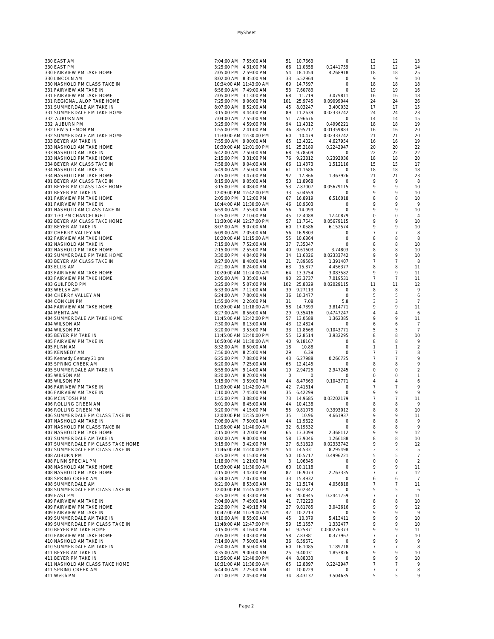| 330 EAST AM                       | 7:04:00 AM 7:55:00 AM   |         | 51 10.7663  | 0             | 12             | 12             | 13             |
|-----------------------------------|-------------------------|---------|-------------|---------------|----------------|----------------|----------------|
| 330 EAST PM                       | 3:25:00 PM 4:31:00 PM   |         | 66 11.0658  | 0.2441759     | 12             | 12             | 14             |
| 330 FAIRVIEW PM TAKE HOME         | 2:05:00 PM 2:59:00 PM   |         | 54 18.1054  | 4.268918      | 18             | 18             | 25             |
| 330 LINCOLN AM                    | 8:02:00 AM 8:35:00 AM   |         | 33 5.52964  | 0             | 9              | 9              | 10             |
| 330 NASHOLD PM CLASS TAKE IN      | 10:34:00 AM 11:43:00 AM |         | 69 14.7597  | $\circ$       | 18             | 18             | 18             |
| 331 FAIRVIEW AM TAKE IN           | 6:56:00 AM 7:49:00 AM   |         | 53 7.60783  | 0             | 19             | 19             | 16             |
| 331 FAIRVIEW PM TAKE HOME         | 2:05:00 PM 3:13:00 PM   | 68      | 11.719      | 3.079811      | 16             | 16             | 18             |
| 331 REGIONAL ALOP TAKE HOME       | 7:25:00 PM 9:06:00 PM   |         | 101 25.9745 | 0.09099044    | 24             | 24             | 26             |
| 331 SUMMERDALE AM TAKE IN         | 8:07:00 AM 8:52:00 AM   |         | 45 8.03247  | 3.400032      | 17             | 17             | 15             |
| 331 SUMMERDALE PM TAKE HOME       | 3:15:00 PM   4:44:00 PM |         | 89 11.2639  | 0.02333742    | 24             | 24             | 23             |
| 332 AUBURN AM                     | 7:04:00 AM 7:55:00 AM   |         | 51 7.96676  | $\circ$       | 14             | 14             | 15             |
| 332 AUBURN PM                     | 3:25:00 PM 4:59:00 PM   |         | 94 11.4012  | 0.4996221     | 18             | 18             | 19             |
| 332 LEWIS LEMON PM                | 1:55:00 PM 2:41:00 PM   |         | 46 8.95217  | 0.01359883    | 16             | 16             | 20             |
| 332 SUMMERDALE AM TAKE HOME       | 11:30:00 AM 12:30:00 PM | 60      | 10.479      | 0.02333742    | 21             | 21             | 20             |
| 333 BEYER AM TAKE IN              | 7:55:00 AM 9:00:00 AM   |         | 65 13.4021  | 4.627954      | 16             | 16             | 19             |
| 333 NASHOLD AM TAKE HOME          | 10:30:00 AM 12:01:00 PM |         | 91 25.2189  | 0.2242947     | 20             | 20             | 22             |
| 333 NASHOLD AM TAKE IN            | 6:42:00 AM 7:50:00 AM   |         | 68 9.78509  | 0             | 22             | 22             | 22             |
| 333 NASHOLD PM TAKE HOME          | 2:15:00 PM 3:31:00 PM   |         | 76 9.23812  | 0.2392036     | 18             | 18             | 20             |
|                                   | 7:58:00 AM 9:04:00 AM   |         | 66 11.4373  |               | 15             | 15             | 17             |
| 334 BEYER AM CLASS TAKE IN        |                         |         |             | 1.512116      | 18             |                |                |
| 334 NASHOLD AM TAKE IN            | 6:49:00 AM 7:50:00 AM   |         | 61 11.1686  | 0<br>1.363926 |                | 18             | 18             |
| 334 NASHOLD PM TAKE HOME          | 2:15:00 PM 3:47:00 PM   | 92      | 17.866      |               | 21<br>9        | 21<br>9        | 23             |
| 401 BEYER AM CLASS TAKE IN        | 8:15:00 AM 9:05:00 AM   |         | 50 11.8968  | 0             |                |                | 8              |
| 401 BEYER PM CLASS TAKE HOME      | 3:15:00 PM 4:08:00 PM   |         | 53 7.87007  | 0.05679115    | 9              | 9              | 10             |
| 401 BEYER PM TAKE IN              | 12:09:00 PM 12:42:00 PM |         | 33 5.04659  | $\circ$       | 9              | 9              | 10             |
| 401 FAIRVIEW PM TAKE HOME         | 2:05:00 PM 3:12:00 PM   |         | 67 16.8919  | 6.516018      | 8              | 8              | 10             |
| 401 FAIRVIEW PM TAKE IN           | 10:44:00 AM 11:30:00 AM |         | 46 10.9603  | 0             | 9              | 9              | 9              |
| 401 NASHOLD AM CLASS TAKE IN      | 6:59:00 AM 7:55:00 AM   | 56      | 14.099      | $\circ$       | 9              | 9              | 10             |
| 402 1:30 PM CHANCELIGHT           | 1:25:00 PM 2:10:00 PM   |         | 45 12.4088  | 12.40879      | 0              | $\circ$        | $\overline{4}$ |
| 402 BEYER AM CLASS TAKE HOME      | 11:30:00 AM 12:27:00 PM |         | 57 11.7641  | 0.05679115    | 9              | 9              | 10             |
| 402 BEYER AM TAKE IN              | 8:07:00 AM 9:07:00 AM   |         | 60 17.0586  | 6.152574      | 9              | 9              | 10             |
| 402 CHERRY VALLEY AM              | 6:09:00 AM 7:05:00 AM   |         | 56 16.9803  | 0             | 7              | 7              | 8              |
| 402 FAIRVIEW AM TAKE HOME         | 10:20:00 AM 11:15:00 AM |         | 55 10.6864  | $\circ$       | 8              | 8              | 8              |
| 402 NASHOLD AM TAKE IN            | 7:15:00 AM 7:52:00 AM   |         | 37 7.35047  | 0             | 8              | 8              | 10             |
| 402 NASHOLD PM TAKE HOME          | 2:15:00 PM 2:55:00 PM   |         | 40 9.61603  | 3.74803       | 8              | 8              | 10             |
| 402 SUMMERDALE PM TAKE HOME       | 3:30:00 PM 4:04:00 PM   |         | 34 11.6326  | 0.02333742    | 9              | 9              | 10             |
| 403 BEYER AM CLASS TAKE IN        | 8:27:00 AM 8:48:00 AM   |         | 21 7.89585  | 1.391407      | 7              | $\overline{7}$ | 8              |
| 403 ELLIS AM                      | 7:21:00 AM 8:24:00 AM   | 63      | 15.877      | 4.456377      | 8              | 8              | 11             |
| 403 FAIRIVEW AM TAKE HOME         | 10:20:00 AM 11:24:00 AM |         | 64 13.3754  | 3.083582      | 9              | 9              | 11             |
| 403 FAIRVIEW PM TAKE HOME         | 2:05:00 AM 3:35:00 AM   |         | 90 23.3737  | 7.019531      | 7              | 7              | 11             |
| 403 GUILFORD PM                   | 3:25:00 PM 5:07:00 PM   |         | 102 25.8329 | 0.02029115    | 11             | 11             | 12             |
| 403 WELSH AM                      | 6:33:00 AM 7:12:00 AM   |         | 39 9.27113  | $\circ$       | 8              | 8              | 9              |
| 404 CHERRY VALLEY AM              | 6:24:00 AM 7:00:00 AM   |         | 36 10.3477  | $\circ$       | 5              | 5              | 6              |
| 404 CONKLIN PM                    | 1:55:00 PM 2:26:00 PM   | 31      | 7.08        | 5.8           | 3              | 3              | 7              |
| 404 FAIRVIEW AM TAKE HOME         | 10:20:00 AM 11:18:00 AM |         | 58 14.7399  | 3.814771      | 9              | 9              | 11             |
| 404 MENTA AM                      | 8:27:00 AM 8:56:00 AM   |         | 29 9.35416  | 0.4747247     | 4              | 4              | 6              |
| 404 SUMMERDALE AM TAKE HOME       | 11:45:00 AM 12:42:00 PM |         | 57 13.0588  | 1.362385      | 9              | 9              | 11             |
| 404 WILSON AM                     | 7:30:00 AM 8:13:00 AM   |         | 43 12.4824  | $\circ$       | 6              | 6              | 7              |
| 404 WILSON PM                     | 3:20:00 PM 3:53:00 PM   |         | 33 11.8668  | 0.1043771     | 5              | 5              | $\overline{7}$ |
|                                   | 11:45:00 AM 12:40:00 PM |         | 55 12.8514  | 3.932295      | 8              | 8              | 10             |
| 405 BEYER PM TAKE IN              |                         |         |             |               |                |                | 9              |
| 405 FAIRVIEW PM TAKE IN           | 10:50:00 AM 11:30:00 AM |         | 40 9.18167  | 0             | 8              | 8              |                |
| 405 FLINN AM                      | 8:32:00 AM 8:50:00 AM   | 18      | 10.88       | $\circ$       | 1              | 1              | $\overline{2}$ |
| 405 KENNEDY AM                    | 7:56:00 AM 8:25:00 AM   | 29      | 6.39        | $\circ$       | 7              | 7              | 8              |
| 405 Kennedy Century 21 pm         | 6:25:00 PM 7:08:00 PM   |         | 43 6.27988  | 0.266725      | $\overline{7}$ | 7              | 9              |
| 405 SPRING CREEK AM               | 6:20:00 AM 7:25:00 AM   |         | 65 12.4145  | 0             | 8              | 8              | 9              |
| 405 SUMMERDALE AM TAKE IN         | 8:55:00 AM 9:14:00 AM   |         | 19 2.94725  | 2.947245      | 0              | $\circ$        | $\overline{2}$ |
| 405 WILSON AM                     | 8:20:00 AM 8:20:00 AM   | $\circ$ | 0           | 0             | 0              | 0              | $\mathbf{1}$   |
| 405 WILSON PM                     | 3:15:00 PM 3:59:00 PM   |         | 44 8.47363  | 0.1043771     | 4              | $\overline{4}$ | 6              |
| 406 FAIRIVEW PM TAKE IN           | 11:00:00 AM 11:42:00 AM |         | 42 7.41614  | $\circ$       | 7              | 7              | 9              |
| 406 FAIRVIEW AM TAKE IN           | 7:10:00 AM 7:45:00 AM   |         | 35 6.42299  | $\circ$       | 9              | 9              | 9              |
| 406 MCINTOSH PM                   | 1:55:00 PM 3:08:00 PM   |         | 73 14.9685  | 0.03202179    | 7              | 7              | 11             |
| 406 ROLLING GREEN AM              | 8:01:00 AM 8:45:00 AM   |         | 44 10.4138  | 0             | 8              | 8              | 9              |
| 406 ROLLING GREEN PM              | 3:20:00 PM 4:15:00 PM   |         | 55 9.81075  | 0.3393012     | 8              | 8              | 10             |
| 406 SUMMERDALE PM CLASS TAKE IN   | 12:00:00 PM 12:35:00 PM | 35      | 10.96       | 4.661937      | 9              | 9              | 11             |
| 407 NASHOLD AM TAKE IN            | 7:06:00 AM 7:50:00 AM   |         | 44 11.9622  |               | 8              | 8              | 9              |
| 407 NASHOLD PM CLASS TAKE IN      | 11:08:00 AM 11:40:00 AM |         | 32 6.19532  | 0             | 8              | 8              | 9              |
| 407 NASHOLD PM TAKE HOME          | 2:15:00 PM 3:20:00 PM   |         | 65 13.3099  | 2.368112      | 9              | 9              | 12             |
| 407 SUMMERDALE AM TAKE IN         | 8:02:00 AM 9:00:00 AM   |         | 58 13.9046  | 1.266188      | 8              | 8              | 10             |
| 407 SUMMERDALE PM CLASS TAKE HOME | 3:15:00 PM 3:42:00 PM   |         | 27 6.51829  | 0.02333742    | 9              | 9              | 12             |
| 407 SUMMERDALE PM CLASS TAKE IN   | 11:46:00 AM 12:40:00 PM |         | 54 14.5331  | 8.295498      | 3              | 3              | 5              |
| 408 AUBURN PM                     | 3:25:00 PM 4:15:00 PM   |         | 50 10.5717  | 0.4996221     | 5              | 5              | $\overline{7}$ |
| 408 FLINN SPECIAL PM              | 1:18:00 PM 1:21:00 PM   |         | 3 1.06345   | $\circ$       | $\circ$        | $\circ$        | $\overline{2}$ |
| 408 NASHOLD AM TAKE HOME          | 10:30:00 AM 11:30:00 AM |         | 60 10.1118  | $\circ$       | 9              | 9              | 11             |
| 408 NASHOLD PM TAKE HOME          | 2:15:00 PM 3:42:00 PM   |         | 87 16.9073  | 2.763335      | 7              | 7              | 12             |
| 408 SPRING CREEK AM               | 6:34:00 AM 7:07:00 AM   |         | 33 15.4932  | $\mathbf{0}$  | 6              | 6              | 7              |
| 408 SUMMERDALE AM                 | 8:21:00 AM 8:53:00 AM   |         | 32 11.5174  | 4.056818      | 7              | 7              | 11             |
| 408 SUMMERDALE PM CLASS TAKE IN   | 12:00:00 PM 12:45:00 PM |         | 45 9.02342  | $\circ$       | 5              | 5              | 6              |
| 409 EAST PM                       | 3:25:00 PM 4:33:00 PM   |         | 68 20.0945  | 0.2441759     | 7              | 7              | 11             |
| 409 FAIRVIEW AM TAKE IN           | 7:04:00 AM 7:45:00 AM   |         | 41 7.72223  | $\circ$       | 8              | 8              | 10             |
| 409 FAIRVIEW PM TAKE HOME         | 2:22:00 PM 2:49:18 PM   |         | 27 9.81785  | 3.042616      | 9              | 9              | 12             |
| 409 FAIRVIEW PM TAKE IN           | 10:42:00 AM 11:29:00 AM |         | 47 10.2213  | $\circ$       | 9              | 9              | 9              |
| 409 SUMMERDALE AM TAKE IN         | 8:10:00 AM  8:55:00 AM  | 45      | 10.379      | 5.413411      | 9              | 9              | 10             |
| 409 SUMMERDALE PM CLASS TAKE IN   | 11:48:00 AM 12:47:00 PM |         | 59 15.1557  | 1.332477      | 9              | 9              | 10             |
| 410 BEYER PM TAKE HOME            | 3:15:00 PM 4:16:00 PM   |         | 61 9.25871  | 0.000276373   | 9              | 9              | 11             |
| 410 FAIRVIEW PM TAKE HOME         | 2:05:00 PM 3:03:00 PM   |         | 58 7.83881  | 0.377967      | $\overline{7}$ | $\overline{7}$ | 10             |
| 410 NASHOLD AM TAKE IN            | 7:14:00 AM 7:50:00 AM   |         | 36 6.59671  | $\circ$       | 9              | 9              | 9              |
| 410 SUMMERDALE AM TAKE IN         | 7:50:00 AM 8:50:00 AM   |         | 60 16.1085  | 1.189718      | 7              | $\overline{7}$ | 8              |
| 411 BEYER AM TAKE IN              | 8:35:00 AM 9:00:00 AM   |         | 25 9.40031  | 1.853826      | 9              | 9              | 10             |
| 411 BEYER PM TAKE IN              | 11:56:00 AM 12:40:00 PM |         | 44 8.88033  | $\circ$       | 9              | 9              | 10             |
| 411 NASHOLD AM CLASS TAKE HOME    | 10:31:00 AM 11:36:00 AM |         | 65 12.8897  | 0.2242947     | 7              | $\overline{7}$ | 9              |
| 411 SPRING CREEK AM               | 6:44:00 AM 7:25:00 AM   |         |             | $\circ$       | 7              | 7              | 8              |
|                                   |                         |         | 41 10.0229  |               | 5              | 5              | 9              |
| 411 Welsh PM                      | 2:11:00 PM 2:45:00 PM   |         | 34 8.43137  | 3.504635      |                |                |                |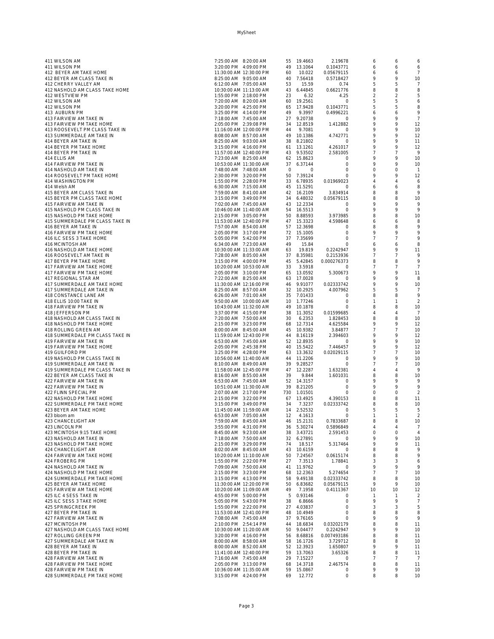| 411 WILSON AM                   | 7:25:00 AM 8:20:00 AM   |         | 55 19.4663  | 2.19678      | 6              | 6              | 6              |
|---------------------------------|-------------------------|---------|-------------|--------------|----------------|----------------|----------------|
| 411 WILSON PM                   | 3:20:00 PM 4:09:00 PM   |         | 49 13.1064  | 0.1043771    | 6              | 6              | 6              |
|                                 | 11:30:00 AM 12:30:00 PM | 60      | 10.022      | 0.05679115   | 6              | 6              | 7              |
| 412 BEYER AM TAKE HOME          |                         |         |             |              |                |                |                |
| 412 BEYER AM CLASS TAKE IN      | 8:25:00 AM 9:05:00 AM   |         | 40 7.56418  | 0.5718427    | 9              | 9              | 10             |
| 412 CHERRY VALLEY AM            | 6:12:00 AM 7:05:00 AM   | 53      | 15.59       | 0.74         | 5              | 5              | 7              |
| 412 NASHOLD AM CLASS TAKE HOME  | 10:30:00 AM 11:13:00 AM |         | 43 6.44845  | 0.6621776    | 8              | 8              | 8              |
| 412 WESTVIEW PM                 | 1:55:00 PM 2:18:00 PM   | 23      | 6.32        | 4.25         | $\overline{2}$ | $\overline{2}$ | 5              |
| 412 WILSON AM                   | 7:20:00 AM 8:20:00 AM   |         | 60 19.2561  | $\mathbf{0}$ | 5              | 5              | 6              |
| 412 WILSON PM                   | 3:20:00 PM 4:25:00 PM   |         | 65 17.9428  | 0.1043771    | 5              | 5              | 8              |
|                                 |                         |         |             |              |                |                |                |
| 413 AUBURN PM                   | 3:25:00 PM 4:14:00 PM   | 49      | 9.3997      | 0.4996221    | 6              | 6              | 9              |
| 413 FAIRVIEW AM TAKE IN         | 7:18:00 AM 7:45:00 AM   |         | 27 9.20738  | 0            | 9              | 9              | 7              |
| 413 FAIRVIEW PM TAKE HOME       | 2:05:00 PM 2:39:08 PM   |         | 34 12.8519  | 1.412882     | 9              | 9              | 12             |
| 413 ROOSEVELT PM CLASS TAKE IN  | 11:16:00 AM 12:00:00 PM | 44      | 9.7081      | $\circ$      | 9              | 9              | 10             |
|                                 |                         |         |             |              | 9              | 9              |                |
| 413 SUMMERDALE AM TAKE IN       | 8:08:00 AM 8:57:00 AM   |         | 49 10.1386  | 4.742771     |                |                | 12             |
| 414 BEYER AM TAKE IN            | 8:25:00 AM 9:03:00 AM   |         | 38 8.21802  | $\circ$      | 9              | 9              | 11             |
| 414 BEYER PM TAKE HOME          | 3:15:00 PM 4:16:00 PM   |         | 61 13.1261  | 4.261017     | 9              | 9              | 12             |
| 414 BEYER PM TAKE IN            | 11:57:00 AM 12:40:00 PM |         | 43 9.53502  | 2.581005     | 7              | 7              | 9              |
| 414 ELLIS AM                    | 7:23:00 AM 8:25:00 AM   |         | 62 15.8623  | 0            | 9              | 9              | 10             |
| 414 FAIRVIEW PM TAKE IN         | 10:53:00 AM 11:30:00 AM |         | 37 6.37144  | $\circ$      | 9              | 9              | 10             |
|                                 |                         |         |             |              |                |                |                |
| 414 NASHOLD AM TAKE IN          | 7:48:00 AM 7:48:00 AM   | $\circ$ | $\circ$     | $\circ$      | $\circ$        | $\circ$        | $\overline{1}$ |
| 414 ROOSEVELT PM TAKE HOME      | 2:30:00 PM 3:20:00 PM   |         | 50 7.39124  | $\circ$      | 9              | 9              | 12             |
| 414 WASHINGTON PM               | 1:55:00 PM 2:28:00 PM   |         | 33 6.78935  | 0.01969023   | $\overline{4}$ | 4              | 6              |
| 414 Welsh AM                    | 6:30:00 AM 7:15:00 AM   |         | 45 11.5291  | 0            | 6              | 6              | 8              |
| 415 BEYER AM CLASS TAKE IN      | 7:59:00 AM 8:41:00 AM   |         | 42 16.2109  | 3.834914     | 8              | 8              | 9              |
|                                 |                         |         |             |              |                |                |                |
| 415 BEYER PM CLASS TAKE HOME    | 3:15:00 PM 3:49:00 PM   |         | 34 6.48032  | 0.05679115   | 8              | 8              | 10             |
| 415 FAIRVIEW AM TAKE IN         | 7:02:00 AM 7:45:00 AM   |         | 43 12.2334  | 0            | 9              | 9              | 9              |
| 415 NASHOLD PM CLASS TAKE IN    | 10:46:00 AM 11:40:00 AM |         | 54 16.5513  | $\circ$      | 9              | 9              | 9              |
| 415 NASHOLD PM TAKE HOME        | 2:15:00 PM 3:05:00 PM   |         | 50 8.88593  | 3.973985     | 8              | 8              | 10             |
| 415 SUMMERDALE PM CLASS TAKE IN | 11:53:00 AM 12:40:00 PM |         | 47 15.3323  | 4.598648     | 6              | 6              | 8              |
| 416 BEYER AM TAKE IN            |                         |         |             |              | 8              | 8              | 9              |
|                                 | 7:57:00 AM 8:54:00 AM   |         | 57 12.3698  | $\circ$      |                |                |                |
| 416 FAIRVIEW PM TAKE HOME       | 2:05:00 PM 3:17:00 PM   |         | 72 15.1005  | $\circ$      | 9              | 9              | 9              |
| 416 ILC SESS 3 TAKE HOME        | 5:05:00 PM 5:42:00 PM   |         | 37 7.35699  | $\circ$      | $\overline{7}$ | $\overline{7}$ | 9              |
| 416 MCINTOSH AM                 | 6:34:00 AM 7:23:00 AM   | 49      | 15.84       | $\circ$      | 6              | 6              | 8              |
| 416 NASHOLD AM TAKE HOME        | 10:30:00 AM 11:33:00 AM | 63      | 19.819      | 0.2242947    | 9              | 9              | 11             |
| 416 ROOSEVELT AM TAKE IN        | 7:28:00 AM 8:05:00 AM   |         | 37 8.35981  | 0.2153936    | $\overline{7}$ | $\overline{7}$ | 9              |
|                                 |                         |         |             |              |                |                |                |
| 417 BEYER PM TAKE HOME          | 3:15:00 PM 4:00:00 PM   |         | 45 5.42845  | 0.000276373  | 8              | 8              | 9              |
| 417 FAIRVIEW AM TAKE HOME       | 10:20:00 AM 10:53:00 AM |         | 33 3.5918   | 0            | $\overline{7}$ | 7              | $\overline{7}$ |
| 417 FAIRVIEW PM TAKE HOME       | 2:05:00 PM 3:10:00 PM   |         | 65 13.0592  | 5.300673     | 9              | 9              | 11             |
| 417 REGIONAL STAR AM            | 7:22:00 AM 8:25:00 AM   |         | 63 17.0028  | $\circ$      | 9              | 9              | 8              |
| 417 SUMMERDALE AM TAKE HOME     | 11:30:00 AM 12:16:00 PM |         | 46 9.91077  | 0.02333742   | 9              | 9              | 10             |
|                                 |                         |         |             |              |                |                |                |
| 417 SUMMERDALE AM TAKE IN       | 8:25:00 AM 8:57:00 AM   |         | 32 10.2925  | 4.007962     | 5              | 5              | 7              |
| 418 CONSTANCE LANE AM           | 6:26:00 AM 7:01:00 AM   |         | 35 7.01433  | 0            | 8              | 8              | 9              |
| 418 ELLIS 10:00 TAKE IN         | 9:50:00 AM 10:00:00 AM  |         | 10 1.77246  | $\circ$      | 1              | 1              | $\overline{2}$ |
| 418 FAIRVIEW PM TAKE IN         | 10:43:00 AM 11:32:00 AM |         | 49 10.1878  | 0            | 8              | 8              | 10             |
| 418 JEFFERSON PM                | 3:37:00 PM 4:15:00 PM   |         | 38 11.3052  | 0.01599685   | 4              | 4              | 7              |
|                                 |                         |         |             |              |                |                |                |
| 418 NASHOLD AM CLASS TAKE IN    | 7:20:00 AM 7:50:00 AM   |         | 30 6.2353   | 1.828453     | 8              | 8              | 10             |
| 418 NASHOLD PM TAKE HOME        | 2:15:00 PM 3:23:00 PM   |         | 68 12.7314  | 4.625584     | 9              | 9              | 12             |
| 418 ROLLING GREEN AM            | 8:00:00 AM 8:45:00 AM   |         | 45 10.9382  | 3.84877      | $\overline{7}$ | 7              | 10             |
| 418 SUMMERDALE PM CLASS TAKE IN | 11:59:00 AM 12:43:00 PM |         | 44 8.16119  | 2.394603     | 9              | 9              | 12             |
| 419 FAIRVIEW AM TAKE IN         | 6:53:00 AM 7:45:00 AM   |         | 52 12.8935  | $\circ$      | 9              | 9              | 10             |
|                                 |                         |         |             |              |                |                |                |
| 419 FAIRVIEW PM TAKE HOME       | 2:05:00 PM 2:45:38 PM   |         | 40 15.5422  | 7.446457     | 9              | 9              | 12             |
| 419 GUILFORD PM                 | 3:25:00 PM 4:28:00 PM   |         | 63 13.3632  | 0.02029115   | 7              | 7              | 10             |
| 419 NASHOLD PM CLASS TAKE IN    | 10:56:00 AM 11:40:00 AM |         | 44 11.2206  | 0            | 9              | 9              | 10             |
| 419 SUMMERDALE AM TAKE IN       | 8:10:00 AM 8:49:00 AM   |         | 39 9.28527  | $\circ$      | $\overline{7}$ | $\overline{7}$ | 10             |
| 419 SUMMERDALE PM CLASS TAKE IN | 11:58:00 AM 12:45:00 PM |         | 47 12.2287  | 1.632381     | $\overline{4}$ | 4              | 9              |
| 422 BEYER AM CLASS TAKE IN      | 8:16:00 AM  8:55:00 AM  | 39      | 9.844       | 1.601031     | 8              | 8              | 10             |
|                                 |                         |         |             |              |                |                |                |
| 422 FAIRVIEW AM TAKE IN         | 6:53:00 AM 7:45:00 AM   |         | 52 14.3157  | $\circ$      | 9              | 9              | 9              |
| 422 FAIRVIEW PM TAKE IN         | 10:51:00 AM 11:30:00 AM |         | 39 8.21205  | $\circ$      | $\circ$        | 9              | 9              |
| 422 FLINN SPECIAL PM            | 2:07:00 AM 2:17:00 PM   |         | 730 1.01501 | 0            | $\mathbf 0$    | $\circ$        | $\overline{2}$ |
| 422 NASHOLD PM TAKE HOME        | 2:15:00 PM 3:22:00 PM   |         | 67 13.4925  | 4.390153     | 8              | 8              | 11             |
| 422 SUMMERDALE PM TAKE HOME     | 3:15:00 PM 3:49:00 PM   | 34      | 7.3237      | 0.02333742   | 8              | 8              | 10             |
| 423 BEYER AM TAKE HOME          | 11:45:00 AM 11:59:00 AM |         | 14 2.52532  | 0            | 5              | 5              | 5              |
|                                 |                         |         |             |              |                |                |                |
| 423 bloom am                    | 6:53:00 AM 7:05:00 AM   | 12      | 4.1613      | $\circ$      | $\overline{1}$ | 1              | $\overline{2}$ |
| 423 CHANCELIGHT AM              | 7:59:00 AM 8:45:00 AM   |         | 46 15.2131  | 0.7833687    | 8              | 8              | 10             |
| 423 LINCOLN PM                  | 3:55:00 PM 4:31:00 PM   |         | 36 5.30274  | 0.5896849    | 4              | 4              | 7              |
| 423 MCINTOSH 9:15 TAKE HOME     | 8:45:00 AM 9:23:00 AM   |         | 38 3.43721  | 2.591453     | $\circ$        | $\circ$        | $\overline{4}$ |
| 423 NASHOLD AM TAKE IN          | 7:18:00 AM 7:50:00 AM   |         | 32 6.27891  | 0            | 9              | 9              | 10             |
| 423 NASHOLD PM TAKE HOME        | 2:15:00 PM 3:29:00 PM   | 74      | 18.517      | 5.317464     | 9              | 9              | 11             |
|                                 |                         |         | 43 10.6159  | $\circ$      | 8              | 8              | 9              |
| 424 CHANCELIGHT AM              | 8:02:00 AM 8:45:00 AM   |         |             |              |                |                |                |
| 424 FAIRVIEW AM TAKE HOME       | 10:20:00 AM 11:10:00 AM |         | 50 7.24567  | 0.0615174    | 8              | 8              | 9              |
| 424 FROBERG PM                  | 1:55:00 PM 2:22:00 PM   | 27      | 7.3513      | 1.78841      | 3              | 3              | 6              |
| 424 NASHOLD AM TAKE IN          | 7:09:00 AM 7:50:00 AM   |         | 41 11.9762  | $\circ$      | 9              | 9              | 9              |
| 424 NASHOLD PM TAKE HOME        | 2:15:00 PM 3:23:00 PM   |         | 68 12.2363  | 5.274654     | $\overline{7}$ | 7              | 10             |
| 424 SUMMERDALE PM TAKE HOME     | 3:15:00 PM 4:13:00 PM   |         | 58 9.49138  | 0.02333742   | 8              | 8              | 10             |
| 425 BEYER AM TAKE HOME          | 11:30:00 AM 12:20:00 PM |         | 50 6.83682  | 0.05679115   | 9              | 9              | 10             |
|                                 |                         |         |             |              |                |                |                |
| 425 FAIRVIEW AM TAKE HOME       | 10:20:00 AM 11:09:00 AM | 49      | 7.1958      | 0.4111367    | 10             | 10             | 12             |
| 425 ILC 4 SESS TAKE IN          | 4:55:00 PM 5:00:00 PM   |         | 5 0.93146   | $\circ$      | 1              | $\overline{1}$ | $\overline{2}$ |
| 425 ILC SESS 3 TAKE HOME        | 5:05:00 PM 5:43:00 PM   | 38      | 6.8666      | $\circ$      | 9              | 9              | $\overline{7}$ |
| 425 SPRINGCREEK PM              | 1:55:00 PM 2:22:00 PM   |         | 27 4.03837  | $\circ$      | 3              | 3              | 5              |
| 427 BEYER PM TAKE IN            | 11:53:00 AM 12:41:00 PM |         | 48 10.4949  | $\circ$      | 8              | 8              | 8              |
|                                 |                         |         |             | $\circ$      | 9              | 9              | 9              |
| 427 FAIRVIEW AM TAKE IN         | 7:08:00 AM 7:45:00 AM   |         | 37 9.76165  |              |                |                |                |
| 427 MCINTOSH PM                 | 2:10:00 PM 2:54:14 PM   |         | 44 18.6834  | 0.03202179   | 8              | 8              | 11             |
| 427 NASHOLD AM CLASS TAKE HOME  | 10:30:00 AM 11:20:00 AM |         | 50 9.04477  | 0.2242947    | $\overline{Q}$ | 9              | 10             |
| 427 ROLLING GREEN PM            | 3:20:00 PM 4:16:00 PM   |         | 56 8.68816  | 0.007493186  | 8              | 8              | 11             |
| 427 SUMMERDALE AM TAKE IN       | 8:00:00 AM 8:58:00 AM   |         | 58 16.1726  | 3.729712     | 8              | 8              | 10             |
| 428 BEYER AM TAKE IN            | 8:00:00 AM 8:52:00 AM   |         | 52 12.3923  | 1.650807     | 9              | 9              | 11             |
|                                 |                         |         |             |              |                |                |                |
| 428 BEYER PM TAKE IN            | 11:41:00 AM 12:40:00 PM |         | 59 13.7063  | 3.65326      | 8              | 8              | 11             |
| 428 FAIRVIEW AM TAKE IN         | 7:16:00 AM 7:45:00 AM   |         | 29 7.15227  | $\circ$      | 7              | 7              | 7              |
| 428 FAIRVIEW PM TAKE HOME       | 2:05:00 PM 3:13:00 PM   | 68      | 14.3718     | 2.467574     | 8              | 8              | 11             |
| 428 FAIRVIEW PM TAKE IN         | 10:36:00 AM 11:35:00 AM | 59      | 15.0867     | 0            | 9              | 9              | 10             |
| 428 SUMMERDALE PM TAKE HOME     | 3:15:00 PM   4:24:00 PM | 69      | 12.772      | $\circ$      | 8              | 8              | 10             |
|                                 |                         |         |             |              |                |                |                |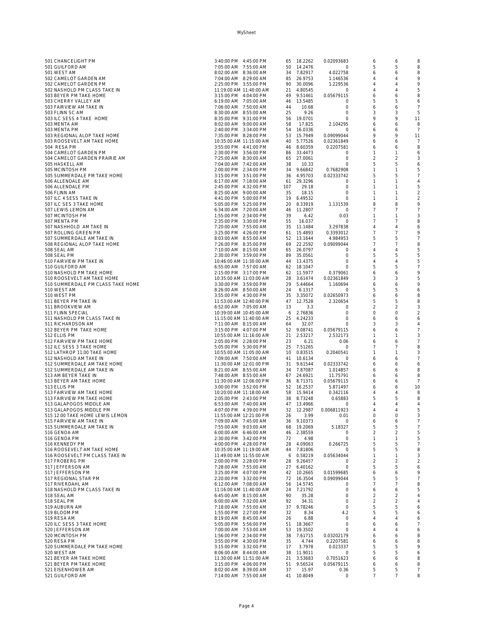| 501 CHANCELIGHT PM                | 3:40:00 PM 4:45:00 PM   |     | 65 18.2262 | 0.02093683   | 6              | 6              | 8              |
|-----------------------------------|-------------------------|-----|------------|--------------|----------------|----------------|----------------|
| 501 GUILFORD AM                   | 7:05:00 AM 7:55:00 AM   |     | 50 14.2476 | $\circ$      | 5              | 5              | 8              |
| 501 WEST AM                       | 8:02:00 AM 8:36:00 AM   |     | 34 7.82917 | 4.022758     | 6              | 6              | 8              |
| 502 CAMELOT GARDEN AM             | 7:04:00 AM 8:29:00 AM   |     | 85 26.9753 | 1.146536     | $\overline{4}$ | 4              | 9              |
|                                   |                         |     |            |              |                |                |                |
| 502 CAMELOT GARDEN PM             | 2:25:00 PM 3:55:00 PM   |     | 90 30.0096 | 1.229536     | $\overline{4}$ | 4              | 9              |
| 502 NASHOLD PM CLASS TAKE IN      | 11:19:00 AM 11:40:00 AM |     | 21 4.80545 | $\mathbf{0}$ | $\overline{4}$ | 4              | 5              |
| 503 BEYER PM TAKE HOME            | 3:15:00 PM 4:04:00 PM   |     | 49 9.51461 | 0.05679115   | 6              | 6              | 8              |
| 503 CHERRY VALLEY AM              | 6:19:00 AM 7:05:00 AM   |     | 46 13.5485 | $\circ$      | 5              | 5              | 6              |
| 503 FAIRVIEW AM TAKE IN           | 7:06:00 AM 7:50:00 AM   | 44  | 10.68      | $\circ$      | 6              | 6              | $\overline{7}$ |
|                                   |                         |     |            |              |                |                |                |
| 503 FLINN SC AM                   | 8:30:00 AM 8:55:00 AM   | 25  | 9.26       | $\circ$      | 3              | 3              | 5              |
| 503 ILC SESS 4 TAKE HOME          | 8:35:00 PM 9:31:00 PM   |     | 56 19.0701 | $\circ$      | 9              | 9              | 11             |
| 503 MENTA AM                      | 8:02:00 AM 9:00:00 AM   | 58  | 17.825     | 2.104295     | 6              | 6              | 8              |
| 503 MENTA PM                      | 2:40:00 PM 3:34:00 PM   |     | 54 16.0336 | 0            | 6              | 6              | 7              |
| 503 REGIONAL ALOP TAKE HOME       | 7:35:00 PM 8:28:00 PM   |     | 53 15.7949 | 0.09099044   | 9              | 9              | 11             |
|                                   |                         |     |            |              |                |                |                |
| 503 ROOSEVELT AM TAKE HOME        | 10:35:00 AM 11:15:00 AM |     | 40 5.77526 | 0.02361849   | 6              | 6              | 7              |
| 504 RESA PM                       | 3:55:00 PM 4:41:00 PM   |     | 46 8.60359 | 0.2207581    | 6              | 6              | 8              |
| 504 CAMELOT GARDEN PM             | 2:30:00 PM 3:56:00 PM   |     | 86 33.4473 | 0            | 1              | $\mathbf{1}$   | 6              |
| 504 CAMELOT GARDEN PRAIRIE AM     | 7:25:00 AM 8:30:00 AM   |     | 65 27.0061 | 0            | $\overline{2}$ | $\overline{a}$ | 3              |
| 505 HASKELL AM                    | 7:04:00 AM 7:42:00 AM   | 38  | 10.33      | 0            | 5              | 5              | 6              |
| 505 MCINTOSH PM                   | 2:00:00 PM 2:34:00 PM   |     | 34 9.66842 | 0.7682908    | $\mathbf{1}$   | $\mathbf{1}$   | 5              |
|                                   |                         |     |            |              |                |                |                |
| 505 SUMMERDALE PM TAKE HOME       | 3:15:00 PM 3:51:00 PM   |     | 36 4.95703 | 0.02333742   | 5              | 5              | 7              |
| 506 ALLENDALE AM                  | 6:17:00 AM 7:18:00 AM   |     | 61 29.3296 | 0            | $\mathbf{1}$   | $\overline{1}$ | 4              |
| 506 ALLENDALE PM                  | 2:45:00 PM 4:32:00 PM   | 107 | 29.18      | $\circ$      | $\mathbf{1}$   | $\mathbf{1}$   | 5              |
| 506 FLINN AM                      | 8:25:00 AM 9:00:00 AM   | 35  | 18.15      | $\circ$      | $\mathbf{1}$   | $\mathbf{1}$   | 2              |
| 507 ILC 4 SESS TAKE IN            | 4:41:00 PM 5:00:00 PM   |     | 19 6.49532 | 0            | 1              | $\mathbf{1}$   | $\overline{2}$ |
| 507 ILC SES 3 TAKE HOME           | 5:05:00 PM 5:25:00 PM   |     | 20 8.33919 | 1.131539     | 8              | 8              | 9              |
|                                   |                         |     |            |              |                |                |                |
| 507 LEWIS LEMON AM                | 6:34:00 AM 7:20:00 AM   |     | 46 11.2807 | $\mathbf{0}$ | 7              | 7              | 7              |
| 507 MCINTOSH PM                   | 1:55:00 PM 2:34:00 PM   | 39  | 6.42       | 0.03         | $\mathbf{1}$   | $\mathbf{1}$   | 3              |
| 507 MENTA PM                      | 2:35:00 PM 3:30:00 PM   | 55  | 16.037     | 0            | $\overline{7}$ | 7              | 8              |
| 507 NASHHOLD AM TAKE IN           | 7:20:00 AM 7:55:00 AM   |     | 35 11.1484 | 3.297838     | 4              | 4              | 6              |
| 507 ROLLING GREEN PM              | 3:25:00 PM 4:26:00 PM   |     | 61 15.4893 | 0.3393012    | 7              | 7              | 9              |
|                                   |                         |     |            |              |                |                |                |
| 507 SUMMERDALE AM TAKE IN         | 8:03:00 AM 8:55:00 AM   |     | 52 13.1644 | 4.984953     | 5              | 5              | 7              |
| 508 REGIONAL ALOP TAKE HOME       | 7:26:00 PM 8:35:00 PM   |     | 69 22.2592 | 0.09099044   | $\overline{7}$ | 7              | 8              |
| 508 SEAL AM                       | 7:10:00 AM 8:15:00 AM   |     | 65 26.0797 | $\circ$      | $\overline{4}$ | 4              | 5              |
| 508 SEAL PM                       | 2:30:00 PM 3:59:00 PM   |     | 89 35.0561 | $\circ$      | 5              | 5              | 5              |
| 510 FAIRVIEW PM TAKE IN           | 10:46:00 AM 11:30:00 AM |     | 44 13.4375 | 0            | 4              | 4              | 5              |
|                                   |                         |     |            |              | 5              |                |                |
| 510 GUILFORD AM                   | 6:55:00 AM 7:57:00 AM   |     | 62 18.1047 | 0            |                | 5              | 7              |
| 510 NASHOLD PM TAKE HOME          | 2:15:00 PM 3:17:00 PM   |     | 62 11.5977 | 0.379061     | 6              | 6              | 9              |
| 510 ROOSEVELT AM TAKE HOME        | 10:35:00 AM 11:03:00 AM |     | 28 3.61474 | 0.02361849   | 3              | 3              | 5              |
| 510 SUMMERDALE PM CLASS TAKE HOME | 3:30:00 PM 3:59:00 PM   |     | 29 5.44664 | 1.160694     | 6              | 6              | 9              |
| 510 WEST AM                       | 8:26:00 AM 8:50:00 AM   | 24  | 6.1317     | 0            | 5              | 5              | 6              |
| 510 WEST PM                       | 3:55:00 PM 4:30:00 PM   |     | 35 3.35072 | 0.02650973   | 6              | 6              | 8              |
|                                   |                         |     |            |              |                |                |                |
| 511 BEYER PM TAKE IN              | 11:53:00 AM 12:40:00 PM |     | 47 12.7528 | 2.320654     | 5              | 5              | 8              |
| 511 BROOKVIEW AM                  | 6:52:00 AM 7:05:00 AM   | 13  | 3.3        | 0            | $\sqrt{2}$     | 2              | 3              |
| 511 FLINN SPECIAL                 | 10:39:00 AM 10:45:00 AM |     | 6 2.76836  | $\circ$      | $\circ$        | $\circ$        | $\overline{2}$ |
| 511 NASHOLD PM CLASS TAKE IN      | 11:15:00 AM 11:40:00 AM |     | 25 4.24233 | $\circ$      | 6              | 6              | 6              |
| 511 RICHARDSON AM                 | 7:11:00 AM 8:15:00 AM   | 64  | 32.07      | 0            | 3              | 3              | 4              |
| 512 BEYER PM TAKE HOME            | 3:15:00 PM 4:07:00 PM   |     | 52 9.08741 | 0.05679115   | 6              | 6              | 7              |
|                                   |                         |     |            |              |                |                |                |
| 512 ELLIS PM                      | 10:55:00 AM 11:16:00 AM |     | 21 2.53217 | 2.532173     | $\mathbf{1}$   | $\mathbf{1}$   | 3              |
| 512 FAIRVIEW PM TAKE HOME         | 2:05:00 PM 2:28:00 PM   | 23  | 6.21       | 0.06         | 6              | 6              | 7              |
| 512 ILC SESS 3 TAKE HOME          | 5:05:00 PM 5:30:00 PM   |     | 25 7.51265 | 0            | 7              | 7              | 8              |
| 512 LATHROP 11:00 TAKE HOME       | 10:55:00 AM 11:05:00 AM |     | 10 0.83515 | 0.2040541    | 1              | 1              | 3              |
| 512 NASHOLD AM TAKE IN            | 7:09:00 AM 7:50:00 AM   |     | 41 10.6134 | 0            | 6              | 6              | 7              |
|                                   |                         |     |            |              |                |                |                |
| 512 SUMMERDALE AM TAKE HOME       | 11:30:00 AM 12:01:00 PM |     | 31 9.61544 | 0.02333742   | 6              | 6              | 6              |
| 512 SUMMERDALE AM TAKE IN         | 8:21:00 AM  8:55:00 AM  |     | 34 7.87087 | 1.014857     | 6              | 6              | 8              |
| 513 AM BEYER TAKE IN              | 7:48:00 AM 8:55:00 AM   |     | 67 24.6921 | 11.75791     | 6              | 6              | 8              |
| 513 BEYER AM TAKE HOME            | 11:30:00 AM 12:06:00 PM |     | 36 8.71371 | 0.05679115   | 6              | 6              | 7              |
| 513 ELLIS PM                      | 3:00:00 PM 3:52:00 PM   |     | 52 16.2537 | 5.871497     | 6              | 6              | 10             |
| 513 FAIRVIEW AM TAKE HOME         | 10:20:00 AM 11:18:00 AM |     | 58 15.9414 | 0.342116     | $\overline{4}$ | $\Delta$       | 8              |
|                                   |                         |     |            |              | 5              | 5              |                |
| 513 FAIRVIEW PM TAKE HOME         | 2:05:00 PM 2:43:00 PM   |     | 38 8.73248 | 0.65883      |                |                | 8              |
| 513 GALAPOGOS MIDDLE AM           | 6:53:00 AM 7:40:00 AM   |     | 47 13.4966 | 0            | 4              | 4              | 4              |
| 513 GALAPOGOS MIDDLE PM           | 4:07:00 PM 4:39:00 PM   |     | 32 12.2987 | 0.006811923  | $\overline{4}$ | 4              | 5              |
| 515 12:00 TAKE HOME LEWIS LEMON   | 11:55:00 AM 12:21:00 PM | 26  | 3.99       | 0.01         | 0              | $\circ$        | 3              |
| 515 FAIRVIEW AM TAKE IN           | 7:09:00 AM 7:45:00 AM   |     | 36 9.10373 | 0            | 6              | 6              | $\overline{7}$ |
| 515 SUMMERDALE AM TAKE IN         | 7:55:00 AM 9:03:00 AM   |     | 68 19.2069 | 5.18327      | 5              | 5              | $\overline{7}$ |
| 516 GENOA AM                      | 6:00:00 AM   6:46:00 AM |     | 46 2.38559 | 0            | $\overline{2}$ | 2              | 5              |
|                                   |                         |     |            |              |                |                |                |
| 516 GENOA PM                      | 2:30:00 PM 3:42:00 PM   | 72  | 4.98       | $\circ$      | 1              | $\mathbf{1}$   | 5              |
| 516 KENNEDY PM                    | 4:00:00 PM 4:28:00 PM   |     | 28 4.09063 | 0.266725     | 5              | 5              | $\overline{7}$ |
| 516 ROOSEVELT AM TAKE HOME        | 10:35:00 AM 11:19:00 AM |     | 44 7.81806 | 0            | 5              | 5              | 8              |
| 516 ROOSEVELT PM CLASS TAKE IN    | 11:49:00 AM 11:55:00 AM |     | 6 0.58219  | 0.05634044   | 1              | $\mathbf{1}$   | 3              |
| 517 FROBERG PM                    | 2:00:00 PM 2:28:00 PM   |     | 28 9.26457 | $\circ$      | $\overline{2}$ | $\overline{a}$ | $\overline{2}$ |
| 517 JEFFERSON AM                  | 7:28:00 AM 7:55:00 AM   |     | 27 6.40162 | 0            | 5              | 5              | 6              |
| 517 JEFFERSON PM                  | 3:25:00 PM 4:07:00 PM   |     | 42 10.2665 | 0.01599685   | 6              | 6              | 9              |
|                                   |                         |     |            |              |                |                |                |
| 517 REGIONAL STAR PM              | 2:20:00 PM 3:32:00 PM   |     | 72 16.3504 | 0.09099044   | 5              | 5              | $\overline{7}$ |
| 517 RIVERDAHL AM                  | 6:12:00 AM 7:08:00 AM   |     | 56 14.5745 | $\circ$      | $\overline{7}$ | 7              | 8              |
| 518 NASHOLD PM CLASS TAKE IN      | 11:16:00 AM 11:40:00 AM |     | 24 7.21792 | $\circ$      | 6              | 6              | 5              |
| 518 SEAL AM                       | 6:45:00 AM 8:15:00 AM   | 90  | 35.28      | $\circ$      | $\overline{2}$ | 2              | 4              |
| 518 SEAL PM                       | 6:00:00 AM 7:32:00 AM   | 92  | 34.31      | $\mathbf 0$  | $\overline{2}$ | $\overline{a}$ | 4              |
| 519 AUBURN AM                     | 7:18:00 AM 7:55:00 AM   |     | 37 9.78246 | $\mathbf 0$  | 5              | 5              | 6              |
|                                   |                         |     |            |              |                |                |                |
| 519 BLOOM PM                      | 1:55:00 PM 2:27:00 PM   | 32  | 8.34       | 4.2          | 5              | 5              | 6              |
| 519 RESA AM                       | 8:19:00 AM 8:45:00 AM   | 26  | 6.88       | $\circ$      | $\overline{4}$ | 4              | 6              |
| 520 ILC SESS 3 TAKE HOME          | 5:05:00 PM 5:56:00 PM   |     | 51 18.3667 | $\circ$      | 6              | 6              | 7              |
| 520 JEFFERSON AM                  | 7:00:00 AM 7:53:00 AM   |     | 53 19.3502 | 0            | 4              | 4              | 6              |
| 520 MCINTOSH PM                   | 1:56:00 PM 2:34:00 PM   |     | 38 7.61715 | 0.03202179   | 6              | 6              | 8              |
| 520 RESA PM                       | 3:55:00 PM 4:30:00 PM   | 35  | 4.744      | 0.2207581    | 6              | 6              | 8              |
|                                   |                         |     |            |              |                |                |                |
| 520 SUMMERDALE PM TAKE HOME       | 3:15:00 PM 3:32:00 PM   | 17  | 3.7978     | 0.023337     | 5              | 5              | 9              |
| 520 WEST AM                       | 8:06:00 AM 8:44:00 AM   |     | 38 11.9011 | $\circ$      | 5              | 5              | 6              |
| 521 BEYER AM TAKE HOME            | 11:30:00 AM 11:51:00 AM |     | 21 3.53683 | 0.7051623    | 6              | 6              | 8              |
| 521 BEYER PM TAKE HOME            | 3:15:00 PM 4:06:00 PM   |     | 51 9.56524 | 0.05679115   | 6              | 6              | 8              |
| 521 EISENHOWER AM                 | 8:02:00 AM 8:39:00 AM   | 37  | 15.97      | 0.36         | 5              | 5              | 7              |
| 521 GUILFORD AM                   | 7:14:00 AM 7:55:00 AM   |     | 41 10.8049 | $\circ$      | 7              | 7              | 8              |
|                                   |                         |     |            |              |                |                |                |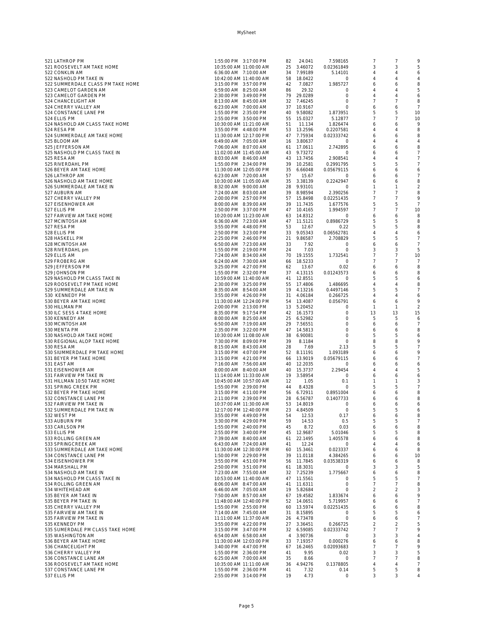| 521 LATHROP PM                                          | 1:55:00 PM 3:17:00 PM                            | 82<br>24.041               | 7.598165              | 7                   | 7                 | 9              |
|---------------------------------------------------------|--------------------------------------------------|----------------------------|-----------------------|---------------------|-------------------|----------------|
| 521 ROOSEVELT AM TAKE HOME                              | 10:35:00 AM 11:00:00 AM                          | 25 3.46072                 | 0.02361849            | 3                   | 3                 | 5              |
| 522 CONKLIN AM                                          | 6:36:00 AM 7:10:00 AM                            | 34 7.99189                 | 5.14101               | 4                   | 4                 | 6              |
| 522 NASHOLD PM TAKE IN                                  | 10:42:00 AM 11:40:00 AM                          | 58 18.0422                 | 0                     | $\overline{4}$      | 4                 | $\overline{4}$ |
| 522 SUMMERDALE CLASS PM TAKE HOME                       | 3:15:00 PM 3:57:00 PM                            | 42<br>7.0827               | 1.985727              | 6                   | 6                 | 8              |
| 523 CAMELOT GARDEN AM                                   | 6:59:00 AM 8:25:00 AM                            | 29.32<br>86                | 0                     | 4                   | 4                 | 5              |
| 523 CAMELOT GARDEN PM                                   | 2:30:00 PM 3:49:00 PM                            | 79 29.0289                 | $\Omega$              | $\overline{4}$      | 4                 | 6              |
| 524 CHANCELIGHT AM                                      | 8:13:00 AM  8:45:00 AM                           | 32 7.46245                 | $\circ$               | $\overline{7}$      | 7                 | 8              |
| 524 CHERRY VALLEY AM                                    | 6:23:00 AM 7:00:00 AM                            | 37 10.9167                 | 0                     | 6                   | 6                 | 7              |
| 524 CONSTANCE LANE PM                                   | 1:55:00 PM 2:35:00 PM                            | 40 9.58082                 | 1.873951              | 5                   | 5                 | 10             |
| 524 ELLIS PM                                            | 2:55:00 PM 3:50:00 PM                            | 55 15.0327                 | 5.12877               | 7                   | 7                 | 10             |
| 524 NASHOLD AM CLASS TAKE HOME                          | 10:30:00 AM 11:21:00 AM                          | 51<br>11.134               | 1.826474              | 6                   | 6                 | 9              |
| 524 RESA PM                                             | 3:55:00 PM 4:48:00 PM                            | 53 13.2596                 | 0.2207581             | $\overline{4}$      | 4                 | 8              |
| 524 SUMMERDALE AM TAKE HOME                             | 11:30:00 AM 12:17:00 PM                          | 47 7.75934                 | 0.02333742            | 6                   | 6                 | 8              |
| 525 BLOOM AM                                            | 6:49:00 AM 7:05:00 AM                            | 16 3.80637                 | $\mathbf{0}$          | $\overline{4}$      | 4                 | $\overline{4}$ |
| 525 JEFFERSON AM                                        | 7:06:00 AM 8:07:00 AM                            | 61 17.0611                 | 2.742895              | 6                   | 6                 | 8<br>7         |
| 525 NASHOLD PM CLASS TAKE IN<br>525 RESA AM             | 11:02:00 AM 11:45:00 AM<br>8:03:00 AM 8:46:00 AM | 43 9.73272<br>43 13.7456   | 0<br>2.908541         | 6<br>$\overline{4}$ | 6<br>4            | 7              |
| 525 RIVERDAHL PM                                        | 1:55:00 PM 2:34:00 PM                            | 39 10.2581                 | 0.2991795             | 5                   | 5                 | 7              |
| 526 BEYER AM TAKE HOME                                  | 11:30:00 AM 12:05:00 PM                          | 35 6.66048                 | 0.05679115            | 6                   | 6                 | 6              |
| 526 LATHROP AM                                          | 6:23:00 AM 7:20:00 AM                            | 57<br>15.67                | $\circ$               | 6                   | 6                 | 7              |
| 526 NASHOLD AM TAKE HOME                                | 10:30:00 AM 11:05:00 AM                          | 35 3.38139                 | 0.2242947             | 6                   | 6                 | 8              |
| 526 SUMMERDALE AM TAKE IN                               | 8:32:00 AM 9:00:00 AM                            | 28 9.93101                 | $\circ$               | 1                   | 1                 | 2              |
| 527 AUBURN AM                                           | 7:24:00 AM 8:03:00 AM                            | 39 8.98594                 | 2.390256              | $\overline{7}$      | 7                 | 8              |
| 527 CHERRY VALLEY PM                                    | 2:00:00 PM 2:57:00 PM                            | 57 15.8498                 | 0.02251435            | 7                   | 7                 | 9              |
| 527 EISENHOWER AM                                       | 8:00:00 AM 8:39:00 AM                            | 39 11.7435                 | 1.677576              | 5                   | 5                 | $\overline{7}$ |
| 527 ELLIS PM                                            | 2:50:00 PM 3:37:00 PM                            | 47 10.4165                 | 1.994597              | $\overline{7}$      | 7                 | 10             |
| 527 FAIRVIEW AM TAKE HOME                               | 10:20:00 AM 11:23:00 AM                          | 63 14.8312                 | 0                     | 6                   | 6                 | 8              |
| 527 MCINTOSH AM                                         | 6:36:00 AM 7:23:00 AM                            | 47 11.5121                 | 0.8986729             | 5                   | 5                 | 8              |
| 527 RESA PM                                             | 3:55:00 PM 4:48:00 PM                            | 53<br>12.67                | 0.22                  | 5                   | 5                 | 8              |
| 528 ELLIS PM                                            | 2:50:00 PM 3:23:00 PM                            | 33 9.05343                 | 0.06562781            | 4                   | 4                 | 6              |
| 528 HASKELL PM                                          | 2:25:00 PM 2:46:00 PM                            | 21 9.86587                 | 2.708829              | 5                   | 5                 | 7              |
| 528 MCINTOSH AM                                         | 6:50:00 AM 7:23:00 AM                            | 33<br>7.92                 | $\circ$               | 6                   | 6                 | 7              |
| 528 RIVERDAHL pm                                        | 1:55:00 PM 2:19:00 PM                            | 24<br>7.03                 | 0                     | 3                   | 3                 | 5              |
| 529 ELLIS AM                                            | 7:24:00 AM 8:34:00 AM                            | 70 19.1555                 | 1.732541              | 7                   | 7                 | 10             |
| 529 FROBERG AM                                          | 6:24:00 AM 7:30:00 AM                            | 66 18.5233                 | $\circ$               | 7                   | 7                 | 7              |
| 529 JEFFERSON PM                                        | 3:25:00 PM 4:27:00 PM                            | 62<br>13.67                | 0.02                  | 6                   | 6                 | 8              |
| 529 JOHNSON PM                                          | 1:55:00 PM 2:32:00 PM                            | 37 4.13115                 | 0.01243573            | 6                   | 6                 | 8              |
| 529 NASHOLD PM CLASS TAKE IN                            | 10:59:00 AM 11:40:00 AM<br>2:30:00 PM 3:25:00 PM | 41 12.8551                 | 0                     | 5<br>$\overline{4}$ | 5                 | 6              |
| 529 ROOSEVELT PM TAKE HOME<br>529 SUMMERDALE AM TAKE IN | 8:35:00 AM 8:54:00 AM                            | 55 17.4806<br>19 4.13216   | 1.486695<br>0.4497146 | 5                   | 4<br>5            | 8<br>7         |
| 530 KENNEDY PM                                          | 3:55:00 PM 4:26:00 PM                            | 31 4.06184                 | 0.266725              | 4                   | 4                 | 6              |
| 530 BEYER AM TAKE HOME                                  | 11:30:00 AM 12:24:00 PM                          | 54 13.4087                 | 0.056791              | 6                   | 6                 | 9              |
| 530 HILLMAN PM                                          | 2:00:00 PM 2:13:00 PM                            | 13 5.20452                 | 0                     | $\mathbf{1}$        | $\mathbf{1}$      | $\overline{2}$ |
| 530 ILC SESS 4 TAKE HOME                                | 8:35:00 PM 9:17:54 PM                            | 42 16.1573                 | $\circ$               | 13                  | 13                | 15             |
| 530 KENNEDY AM                                          | 8:00:00 AM 8:25:00 AM                            | 25 6.52982                 | $\circ$               | 5                   | 5                 | 6              |
| 530 MCINTOSH AM                                         | 6:50:00 AM 7:19:00 AM                            | 29 7.56551                 | $\circ$               | 6                   | 6                 | 7              |
| 530 MENTA PM                                            | 2:35:00 PM 3:22:00 PM                            | 47 14.5813                 | $\circ$               | 6                   | 6                 | 8              |
| 530 NASHOLD AM TAKE HOME                                | 10:30:00 AM 11:08:00 AM                          | 38 6.90081                 | $\circ$               | 5                   | 5                 | 6              |
| 530 REGIONAL ALOP TAKE HOME                             | 7:30:00 PM 8:09:00 PM                            | 39<br>8.1184               | 0                     | 8                   | 8                 | 9              |
| 530 RESA AM                                             | 8:15:00 AM 8:43:00 AM                            | 28<br>7.69                 | 2.13                  | 5                   | 5                 | 7              |
| 530 SIUMMERDALE PM TAKE HOME                            | 3:15:00 PM 4:07:00 PM                            | 52 8.11191                 | 1.093189              | 6                   | 6                 | 9              |
| 531 BEYER PM TAKE HOME                                  | 3:15:00 PM 4:21:00 PM                            | 66 13.9019                 | 0.05679115            | 6                   | 6                 | 7              |
| 531 EAST AM                                             | 7:16:00 AM 7:56:00 AM                            | 40 12.2035                 | $\circ$               | 6                   | 6                 | 6              |
| 531 EISENHOWER AM                                       | 8:00:00 AM 8:40:00 AM                            | 40 15.3737                 | 2.29454               | 4                   | 4                 | 5              |
| 531 FAIRVIEW PM TAKE IN                                 | 11:14:00 AM 11:33:00 AM                          | 19 3.58954                 | 0                     | 6                   | 6                 | 6              |
| 531 HILLMAN 10:50 TAKE HOME<br>531 SPRING CREEK PM      | 10:45:00 AM 10:57:00 AM<br>1:55:00 PM 2:39:00 PM | 12<br>1.05<br>8.4328<br>44 | 0.1<br>$\circ$        | $\mathbf{1}$<br>5   | $\mathbf{1}$<br>5 | 3<br>7         |
| 532 BEYER PM TAKE HOME                                  | 3:15:00 PM 4:11:00 PM                            | 56 6.72911                 | 0.8951004             | 6                   | 6                 | 8              |
| 532 CONSTANCE LANE PM                                   | 2:11:00 PM 2:39:00 PM                            | 28 6.56787                 | 0.1407733             | 6                   | 6                 | 8              |
| 532 FAIRVIEW PM TAKE IN                                 | 10:37:00 AM 11:30:00 AM                          | 53 14.8019                 | $\circ$               | 6                   | 6                 | 6              |
| 532 SUMMERDALE PM TAKE IN                               | 12:17:00 PM 12:40:00 PM                          | 23 4.84509                 | 0                     | 5                   | 5                 | 6              |
| 532 WEST PM                                             | 3:55:00 PM 4:49:00 PM                            | 54<br>12.53                | 0.17                  | 6                   | 6                 | 8              |
| 533 AUBURN PM                                           | 3:30:00 PM 4:29:00 PM                            | 59<br>14.53                | 0.5                   | 5                   | 5                 | $\overline{7}$ |
| 533 CARLSON PM                                          | 1:55:00 PM 2:40:00 PM                            | 45<br>8.72                 | 0.03                  | 6                   | 6                 | 8              |
| 533 ELLIS PM                                            | 2:55:00 PM 3:40:00 PM                            | 45 12.9687                 | 5.01046               | 5                   | 5                 | 8              |
| 533 ROLLING GREEN AM                                    | 7:39:00 AM 8:40:00 AM                            | 22.1495<br>61              | 1.405578              | 6                   | 6                 | 8              |
| 533 SPRINGCREEK AM                                      | 6:43:00 AM 7:24:00 AM                            | 41<br>12.24                | $\Omega$              | $\overline{4}$      | 4                 | 6              |
| 533 SUMMERDALE AM TAKE HOME                             | 11:30:00 AM 12:30:00 PM                          | 60<br>15.3461              | 0.023337              | 6                   | 6                 | 8              |
| 534 CONSTANCE LANE PM                                   | 1:50:00 PM 2:29:00 PM                            | 39 11.0118                 | 4.384265              | 6                   | 6                 | 10             |
| 534 EISENHOWER PM                                       | 3:55:00 PM 4:51:00 PM                            | 56 11.7845                 | 0.03538319            | 6                   | 6                 | 8              |
| 534 MARSHALL PM                                         | 2:50:00 PM 3:51:00 PM                            | 61 18.3031                 | $\circ$               | 3                   | 3                 | 5              |
| 534 NASHOLD AM TAKE IN                                  | 7:23:00 AM 7:55:00 AM                            | 32 7.25239                 | 1.775667              | 6<br>5              | 6                 | 8<br>7         |
| 534 NASHOLD PM CLASS TAKE IN<br>534 ROLLING GREEN AM    | 10:53:00 AM 11:40:00 AM<br>8:06:00 AM 8:47:00 AM | 47 11.5561<br>41 11.6311   | $\circ$<br>$\circ$    | $\overline{7}$      | 5<br>7            | 8              |
| 534 WHITEHEAD AM                                        | 6:46:00 AM 7:05:00 AM                            | 19 5.82684                 | $\circ$               | $\overline{2}$      | $\overline{2}$    | 3              |
| 535 BEYER AM TAKE IN                                    | 7:50:00 AM 8:57:00 AM                            | 67 19.4582                 | 1.833674              | 6                   | 6                 | 9              |
| 535 BEYER PM TAKE IN                                    | 11:48:00 AM 12:40:00 PM                          | 52 14.0651                 | 5.719957              | 6                   | 6                 | 7              |
| 535 CHERRY VALLEY PM                                    | 1:55:00 PM 2:55:00 PM                            | 60 13.5974                 | 0.02251435            | 6                   | 6                 | 8              |
| 535 FAIRVIEW AM TAKE IN                                 | 7:14:00 AM 7:45:00 AM                            | 31 8.15895                 | $\circ$               | 5                   | 5                 | 6              |
| 535 FAIRVIEW PM TAKE IN                                 | 11:11:00 AM 11:37:00 AM                          | 26 4.73478                 | $\circ$               | 6                   | 6                 | 7              |
| 535 KENNEDY PM                                          | 3:55:00 PM 4:22:00 PM                            | 27 3.36451                 | 0.266725              | $\overline{2}$      | 2                 | 5              |
| 535 SUMERDALE PM CLASS TAKE HOME                        | 3:15:00 PM 3:47:00 PM                            | 32 6.59085                 | 0.02333742            | $\overline{7}$      | 7                 | 9              |
| 535 WASHINGTON AM                                       | 6:54:00 AM 6:58:00 AM                            | 4 3.90736                  | $\circ$               | 3                   | 3                 | 4              |
| 536 BEYER AM TAKE HOME                                  | 11:30:00 AM 12:03:00 PM                          | 33 7.19357                 | 0.000276              | 6                   | 6                 | 8              |
| 536 CHANCELIGHT PM                                      | 3:40:00 PM 4:47:00 PM                            | 16.2465<br>67              | 0.02093683            | 7                   | 7                 | 9              |
| 536 CHERRY VALLEY PM                                    | 1:55:00 PM 2:36:00 PM                            | 9.95<br>41                 | 0.02                  | 3                   | 3                 | 5              |
| 536 CONSTANCE LANE AM                                   | 6:25:00 AM 7:00:00 AM                            | 35<br>8.66                 | $\circ$               | $\overline{7}$      | 7                 | 8              |
| 536 ROOSEVELT AM TAKE HOME                              | 10:35:00 AM 11:11:00 AM                          | 4.94276<br>36<br>41        | 0.1378805             | $\overline{4}$<br>5 | 4<br>5            | 7              |
| 537 CONSTANCE LANE PM<br>537 ELLIS PM                   | 1:55:00 PM 2:36:00 PM<br>2:55:00 PM 3:14:00 PM   | 7.32<br>4.73<br>19         | 0.14<br>$\circ$       | 3                   | 3                 | 8<br>4         |
|                                                         |                                                  |                            |                       |                     |                   |                |

MySheet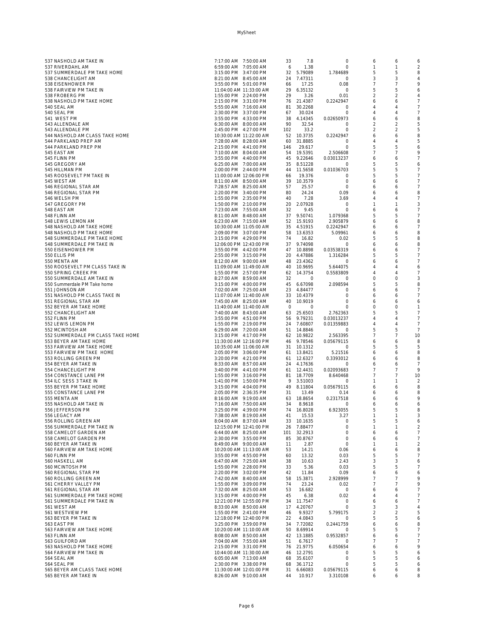|                                   | 7:17:00 AM 7:50:00 AM   |          |            |            |                |                |                |
|-----------------------------------|-------------------------|----------|------------|------------|----------------|----------------|----------------|
| 537 NASHOLD AM TAKE IN            |                         | 33       | 7.8        | 0          | 6              | 6              | 6              |
| 537 RIVERDAHL AM                  | 6:59:00 AM 7:05:00 AM   | 6        | 1.38       | $\circ$    | 1              | $\overline{1}$ | $\overline{2}$ |
| 537 SUMMERDALE PM TAKE HOME       | 3:15:00 PM 3:47:00 PM   |          | 32 5.79089 | 1.784689   | 5              | 5              | 8              |
| 538 CHANCELIGHT AM                | 8:21:00 AM  8:45:00 AM  |          | 24 7.47311 | 0          | 3              | 3              | 4              |
| 538 EISENHOWER PM                 | 3:55:00 PM 5:01:00 PM   | 66       | 17.25      | 0.08       | 7              | 7              | 9              |
| 538 FAIRVIEW PM TAKE IN           | 11:04:00 AM 11:33:00 AM | 29       | 6.35132    | $\circ$    | 5              | 5              | 6              |
| 538 FROBERG PM                    | 1:55:00 PM 2:24:00 PM   | 29       | 3.26       | 0.01       | 2              | $\overline{2}$ | 4              |
|                                   |                         |          | 76 21.4387 |            |                |                | $\overline{7}$ |
| 538 NASHOLD PM TAKE HOME          | 2:15:00 PM 3:31:00 PM   |          |            | 0.2242947  | 6              | 6              |                |
| 540 SEAL AM                       | 5:55:00 AM 7:16:00 AM   | 81       | 30.2268    | 0          | 4              | 4              | $\overline{7}$ |
| 540 SEAL PM                       | 2:30:00 PM 3:37:00 PM   | 67       | 30.024     | 0          | 4              | 4              | $\overline{7}$ |
| 541 WEST PM                       | 3:55:00 PM 4:33:00 PM   | 38       | 4.14345    | 0.02650973 | 6              | 6              | 8              |
|                                   |                         |          |            |            |                |                |                |
| 543 ALLENDALE AM                  | 6:30:00 AM 8:00:00 AM   | 90       | 32.54      | 0          | 2              | 2              | 5              |
| 543 ALLENDALE PM                  | 2:45:00 PM 4:27:00 PM   | 102      | 33.2       | $\circ$    | $\overline{a}$ | $\overline{2}$ | 5              |
| 544 NASHOLD AM CLASS TAKE HOME    | 10:30:00 AM 11:22:00 AM |          | 52 10.3735 | 0.2242947  | 6              | 6              | 8              |
| 544 PARKLAND PREP AM              | 7:28:00 AM 8:28:00 AM   | 60       | 31.8885    | 0          | 4              | 4              | 5              |
| 544 PARKLAND PREP PM              | 2:15:00 PM 4:41:00 PM   | 146      | 29.617     | $\cap$     | 5              | 5              | 6              |
| 545 EAST AM                       |                         | 54       | 19.5391    |            | 7              | 7              | 9              |
|                                   | 7:10:00 AM 8:04:00 AM   |          |            | 2.506608   |                |                |                |
| 545 FLINN PM                      | 3:55:00 PM 4:40:00 PM   |          | 45 9.22646 | 0.03013237 | 6              | 6              | $\overline{7}$ |
| 545 GREGORY AM                    | 6:25:00 AM 7:00:00 AM   |          | 35 8.51228 | 0          | 5              | 5              | 6              |
| 545 HILLMAN PM                    | 2:00:00 PM 2:44:00 PM   |          | 44 11.5658 | 0.01036703 | 5              | 5              | $\overline{7}$ |
| 545 ROOSEVELT PM TAKE IN          | 11:00:00 AM 12:06:00 PM | 66       | 19.376     | 0          | 5              | 5              | $\overline{7}$ |
|                                   |                         |          |            |            |                |                | $\overline{7}$ |
| 545 WEST AM                       | 8:11:00 AM 8:50:00 AM   | 39       | 10.3579    | $\circ$    | 6              | 6              |                |
| 546 REGIONAL STAR AM              | 7:28:57 AM 8:25:00 AM   | 57       | 25.57      | $\circ$    | 6              | 6              | $\overline{7}$ |
| 546 REGIONAL STAR PM              | 2:20:00 PM 3:40:00 PM   | 80       | 24.24      | 0.09       | 6              | 6              | 8              |
| 546 WELSH PM                      | 1:55:00 PM 2:35:00 PM   | 40       | 7.28       | 3.69       | 4              | $\Delta$       | $\overline{7}$ |
| 547 GREGORY PM                    | 1:50:00 PM 2:10:00 PM   |          | 20 2.07928 | 0          | 1              | 1              | 3              |
| 548 EAST AM                       | 7:23:00 AM 7:55:00 AM   | 32       | 9.45       | $\circ$    | 6              | 6              | $\overline{7}$ |
|                                   |                         |          |            |            |                | 5              | $\overline{7}$ |
| 548 FLINN AM                      | 8:11:00 AM 8:48:00 AM   |          | 37 9.50741 | 1.079368   | 5              |                |                |
| 548 LEWIS LEMON AM                | 6:23:00 AM 7:15:00 AM   |          | 52 15.9193 | 2.905879   | 6              | 6              | 8              |
| 548 NASHOLD AM TAKE HOME          | 10:30:00 AM 11:05:00 AM |          | 35 4.51915 | 0.2242947  | 6              | 6              | $\overline{7}$ |
| 548 NASHOLD PM TAKE HOME          | 2:09:00 PM 3:07:00 PM   |          | 58 13.6353 | 5.09961    | 6              | 6              | 8              |
| 548 SUMMERDALE PM TAKE HOME       | 3:15:00 PM 4:29:00 PM   | 74       | 16.82      | 0.02       | 5              | 5              | 8              |
|                                   |                         |          |            |            |                |                |                |
| 548 SUMMERDALE PM TAKE IN         | 12:06:00 PM 12:43:00 PM |          | 37 9.74098 | 0          | 6              | 6              | 8              |
| 550 EISENHOWER PM                 | 3:55:00 PM 4:42:00 PM   |          | 47 10.8898 | 0.03538319 | 6              | 6              | 7              |
| 550 ELLIS PM                      | 2:55:00 PM 3:15:00 PM   |          | 20 4.47886 | 1.316284   | 5              | 5              | $\overline{7}$ |
| 550 MENTA AM                      | 8:12:00 AM 9:00:00 AM   |          | 48 23.4362 | 0          | 6              | 6              | $\overline{7}$ |
| 550 ROOSEVELT PM CLASS TAKE IN    | 11:09:00 AM 11:49:00 AM |          | 40 10.9695 | 5.644075   | 4              | 4              | 6              |
|                                   |                         |          |            |            | $\Delta$       | $\Delta$       | $\overline{7}$ |
| 550 SPRING CREEK PM               | 1:55:00 PM 2:57:00 PM   | 62       | 14.3754    | 0.5583809  |                |                |                |
| 550 SUMMERDALE AM TAKE IN         | 8:27:00 AM 8:59:00 AM   | 32       | $\circ$    | 0          | 0              | $\circ$        | 3              |
| 550 Summerdale PM Take home       | 3:15:00 PM 4:00:00 PM   |          | 45 6.67098 | 2.098594   | 5              | 5              | 8              |
| 551 JOHNSON AM                    | 7:02:00 AM 7:25:00 AM   | 23       | 4.84477    | $\circ$    | 6              | 6              | $\overline{7}$ |
| 551 NASHOLD PM CLASS TAKE IN      | 11:07:00 AM 11:40:00 AM | 33       | 10.4379    | $\circ$    | 6              | 6              | 7              |
| 551 REGIONAL STAR AM              | 7:45:00 AM 8:25:00 AM   | 40       | 10.9019    | 0          |                |                | 6              |
|                                   |                         |          |            |            | 6              | 6              |                |
| 552 BEYER AM TAKE HOME            | 11:40:00 AM 11:40:00 AM | $\Omega$ | $\Omega$   | $\cap$     | $\Omega$       | $\Omega$       | 1              |
| 552 CHANCELIGHT AM                | 7:40:00 AM 8:43:00 AM   |          | 63 25.6503 | 2.762363   | 5              | 5              | $\overline{7}$ |
| 552 FLINN PM                      | 3:55:00 PM 4:51:00 PM   |          | 56 9.79231 | 0.03013237 | 4              | $\overline{4}$ | $\overline{7}$ |
| 552 LEWIS LEMON PM                | 1:55:00 PM 2:19:00 PM   |          | 24 7.60807 | 0.01359883 | 4              | $\overline{4}$ | $\overline{7}$ |
|                                   | 6:29:00 AM 7:20:00 AM   |          | 51 14.8846 |            | 5              | 5              | $\overline{7}$ |
| 552 MCINTOSH AM                   |                         |          |            | 0          |                |                |                |
| 552 SUMMERDALE PM CLASS TAKE HOME | 3:15:00 PM 4:17:00 PM   |          | 62 10.9822 | 2.563395   | 7              | $\overline{7}$ | 10             |
| 553 BEYER AM TAKE HOME            | 11:30:00 AM 12:16:00 PM | 46       | 9.78546    | 0.05679115 | 6              | 6              | 8              |
| 553 FAIRVIEW AM TAKE HOME         | 10:35:00 AM 11:06:00 AM |          | 31 10.1312 | 0          | 5              | 5              | 5              |
| 553 FAIRVIEW PM TAKE HOME         | 2:05:00 PM 3:06:00 PM   |          | 61 13.8421 | 5.21516    | 6              | 6              | 8              |
| 553 ROLLING GREEN PM              | 3:20:00 PM 4:21:00 PM   |          | 61 12.6327 | 0.3393012  | 6              | 6              | 8              |
|                                   |                         |          |            |            |                |                |                |
| 554 BEYER AM TAKE IN              | 8:33:00 AM 8:57:00 AM   |          | 24 4.17636 | 0          | 6              | 6              | $\overline{7}$ |
| 554 CHANCELIGHT PM                | 3:40:00 PM 4:41:00 PM   |          | 61 12.4431 | 0.02093683 | 7              | 7              | 9              |
| 554 CONSTANCE LANE PM             | 1:55:00 PM 3:16:00 PM   |          | 81 18.7709 | 8.640468   | 7              | 7              | 10             |
| 554 ILC SESS 3 TAKE IN            | 1:41:00 PM 1:50:00 PM   | 9        | 3.51003    | 0          | 1              | 1              | $\overline{2}$ |
| 555 BEYER PM TAKE HOME            | 3:15:00 PM 4:04:00 PM   |          | 49 8.11804 | 0.05679115 | 6              | 6              | 8              |
|                                   |                         |          |            |            |                |                |                |
| 555 CONSTANCE LANE PM             | 2:05:00 PM 2:36:35 PM   | 31       | 13.49      | 0.14       | 6              | 6              | 8              |
| 555 MENTA AM                      | 8:16:00 AM 9:19:00 AM   | 63       | 18.8654    | 0.2317518  | 6              | 6              | 9              |
| 555 NASHOLD AM TAKE IN            | 7:16:00 AM 7:50:00 AM   | 34       | 8.9618     | 0          | 6              | 6              | 6              |
| 556 JEFFERSON PM                  | 3:25:00 PM 4:39:00 PM   | 74       | 16.8028    | 6.923055   | 5              | 5              | 8              |
| 556 LEGACY AM                     | 7:38:00 AM 8:19:00 AM   | 41       | 15.53      | 3.27       |                |                | 3              |
| 556 ROLLING GREEN AM              | 8:04:00 AM 8:37:00 AM   |          | 33 10.1635 | 0          | 5              | 5              | 6              |
|                                   |                         |          |            |            |                | 1              |                |
| 556 SUMMERDALE PM TAKE IN         | 12:15:00 PM 12:41:00 PM |          | 26 7.88477 | $\circ$    | 1              |                | $\overline{2}$ |
| 558 CAMELOT GARDEN AM             | 6:44:00 AM 8:25:00 AM   | 101      | 32.2913    | 0          | 6              | 6              | 7              |
| 558 CAMELOT GARDEN PM             | 2:30:00 PM 3:55:00 PM   | 85       | 30.8767    | $\circ$    | 6              | 6              | 7              |
| 560 BEYER AM TAKE IN              | 8:49:00 AM 9:00:00 AM   | 11       | 2.87       | $\circ$    | 1              | 1              | $\overline{2}$ |
| 560 FAIRVIEW AM TAKE HOME         | 10:20:00 AM 11:13:00 AM | 53       | 14.21      | 0.06       | 6              | 6              | 8              |
| 560 FLINN PM                      | 3:55:00 PM 4:55:00 PM   | 60       | 13.32      | 0.03       | 5              | 5              | $\overline{7}$ |
|                                   |                         |          |            |            |                | 3              |                |
| 560 HASKELL AM                    | 6:47:00 AM 7:25:00 AM   | 38       | 10.63      | 2.43       | 3              |                | 6              |
| 560 MCINTOSH PM                   | 1:55:00 PM 2:28:00 PM   | 33       | 5.36       | 0.03       | 5              | 5              | $\overline{7}$ |
| 560 REGIONAL STAR PM              | 2:20:00 PM 3:02:00 PM   | 42       | 11.84      | 0.09       | 6              | 6              | 6              |
| 560 ROLLING GREEN AM              | 7:42:00 AM 8:40:00 AM   | 58       | 15.3871    | 2.928999   | 7              | 7              | 9              |
| 561 CHERRY VALLEY PM              | 1:55:00 PM 3:09:00 PM   | 74       | 23.24      | 0.02       | 7              | 7              | 9              |
| 561 REGIONAL STAR AM              | 7:32:00 AM 8:25:00 AM   | 53       | 16.682     | 0          | 6              | 6              | 7              |
|                                   |                         |          |            |            |                |                |                |
| 561 SUMMERDALE PM TAKE HOME       | 3:15:00 PM 4:00:00 PM   | 45       | 6.38       | 0.02       | 4              | 4              | 7              |
| 561 SUMMERDALE PM TAKE IN         | 12:21:00 PM 12:55:00 PM | 34       | 11.7547    | 0          | 6              | 6              | $\overline{7}$ |
| 561 WEST AM                       | 8:33:00 AM 8:50:00 AM   | 17       | 4.20767    | 0          | 3              | 3              | 4              |
| 561 WESTVIEW PM                   | 1:55:00 PM 2:41:00 PM   | 46       | 9.9327     | 5.799175   | 2              | 2              | 5              |
| 563 BEYER PM TAKE IN              | 12:18:00 PM 12:40:00 PM | 22       | 4.0843     | 0          | 5              | 5              | 6              |
|                                   |                         |          |            |            |                |                |                |
| 563 EAST PM                       | 3:25:00 PM 3:59:00 PM   | 34       | 7.72082    | 0.2441759  | 6              | 6              | 8              |
| 563 FAIRVIEW AM TAKE HOME         | 10:20:00 AM 11:10:00 AM | 50       | 8.69914    | 0          | 5              | 5              | 7              |
| 563 FLINN AM                      | 8:08:00 AM 8:50:00 AM   | 42       | 13.1885    | 0.9532857  | 6              | 6              | $\overline{7}$ |
| 563 GUILFORD AM                   | 7:04:00 AM 7:55:00 AM   | 51       | 6.7617     | 0          | 7              | 7              | $\overline{7}$ |
| 563 NASHOLD PM TAKE HOME          | 2:15:00 PM 3:31:00 PM   |          | 76 21.9775 | 6.050654   | 6              | 6              | 9              |
|                                   |                         |          |            |            |                |                |                |
| 564 FAIRVIEW PM TAKE IN           | 10:44:00 AM 11:30:00 AM | 46       | 12.2791    | 0          | 5              | 5              | 6              |
| 564 SEAL AM                       | 6:05:00 AM 7:13:00 AM   | 68       | 35.6107    | 0          | 5              | 5              | 6              |
| 564 SEAL PM                       | 2:30:00 PM 3:38:00 PM   | 68       | 36.1712    | 0          | 5              | 5              | 6              |
| 565 BEYER AM CLASS TAKE HOME      | 11:30:00 AM 12:01:00 PM | 31       | 6.66083    | 0.05679115 | 6              | 6              | 8              |
| 565 BEYER AM TAKE IN              | 8:26:00 AM 9:10:00 AM   | 44       | 10.917     | 3.310108   | 6              | 6              | 8              |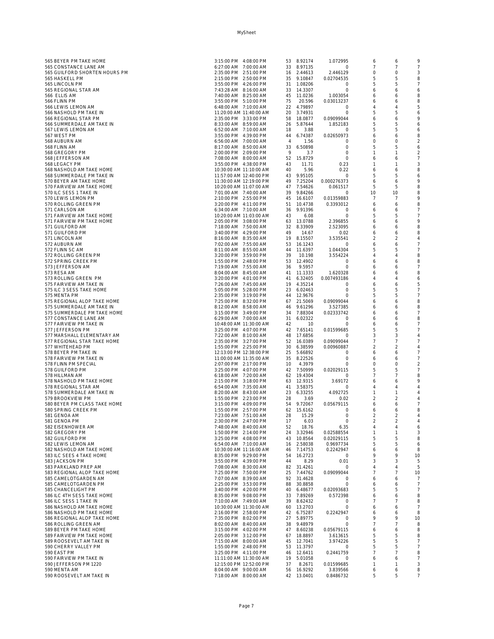| 565 BEYER PM TAKE HOME                              | 3:15:00 PM 4:08:00 PM                          |                                                    |          | 53 8.92174               | 1.072995              | 6                   | 6                   | 9                                |
|-----------------------------------------------------|------------------------------------------------|----------------------------------------------------|----------|--------------------------|-----------------------|---------------------|---------------------|----------------------------------|
| 565 CONSTANCE LANE AM                               | 6:27:00 AM 7:00:00 AM                          |                                                    |          | 33 8.97135               | 0                     | 7                   | 7                   | 7                                |
| 565 GUILFORD SHORTEN HOURS PM                       | 2:35:00 PM 2:51:00 PM                          |                                                    |          | 16 2.44613               | 2.446129              | $\circ$             | 0                   | 3                                |
| 565 HASKELL PM                                      | 2:15:00 PM 2:50:00 PM                          |                                                    |          | 35 9.10847               | 0.02704535            | 5                   | 5                   | 8                                |
| 565 LINCOLN PM                                      | 3:55:00 PM 4:26:00 PM                          |                                                    |          | 31 1.08206               | $\circ$               | 5                   | 5                   | 7                                |
| 565 REGIONAL STAR AM                                | 7:43:28 AM 8:16:00 AM                          |                                                    |          | 33 14.3307               | 0                     | 6                   | 6                   | 6                                |
| 566 ELLIS AM                                        | 7:40:00 AM 8:25:00 AM                          |                                                    |          | 45 11.0236               | 1.003054              | 6                   | 6                   | 8                                |
| 566 FLINN PM                                        | 3:55:00 PM 5:10:00 PM                          |                                                    | 75       | 20.596                   | 0.03013237            | 6                   | 6                   | 8                                |
| 566 LEWIS LEMON AM                                  | 6:48:00 AM 7:10:00 AM                          |                                                    |          | 22 4.79897               | 0                     | 4                   | 4                   | 5                                |
| 566 NASHOLD PM TAKE IN                              |                                                | 11:20:00 AM 11:40:00 AM                            |          | 20 3.74931               | $\circ$               | 5                   | 5                   | 6                                |
| 566 REGIONAL STAR PM                                | 2:35:00 PM 3:33:00 PM                          |                                                    |          | 58 18.0877               | 0.09099044            | 6<br>5              | 6<br>5              | 9                                |
| 566 SUMMERDALE AM TAKE IN<br>567 LEWIS LEMON AM     | 8:33:00 AM 8:59:00 AM<br>6:52:00 AM 7:10:00 AM |                                                    | 26<br>18 | 5.87644<br>3.88          | 1.852183<br>$\circ$   | 5                   | 5                   | 6<br>6                           |
| 567 WEST PM                                         | 3:55:00 PM 4:39:00 PM                          |                                                    | 44       | 6.74387                  | 0.02650973            | 6                   | 6                   | 8                                |
| 568 AUBURN AM                                       | 6:56:00 AM 7:00:00 AM                          |                                                    | 4        | 1.56                     | $\circ$               | $\circ$             | 0                   | $\overline{a}$                   |
| 568 FLINN AM                                        | 8:17:00 AM 8:50:00 AM                          |                                                    | 33       | 6.50898                  | $\circ$               | 5                   | 5                   | 6                                |
| 568 GREGORY PM                                      | 2:00:00 PM 2:09:00 PM                          |                                                    | -9       | 3.7                      | 0                     | $\mathbf{1}$        | 1                   | $\overline{a}$                   |
| 568 JEFFERSON AM                                    | 7:08:00 AM 8:00:00 AM                          |                                                    |          | 52 15.8729               | $\circ$               | 6                   | 6                   | 7                                |
| 568 LEGACY PM                                       | 3:55:00 PM 4:38:00 PM                          |                                                    | 43       | 11.71                    | 0.23                  | $\mathbf{1}$        | 1                   | 3                                |
| 568 NASHOLD AM TAKE HOME                            |                                                | 10:30:00 AM 11:10:00 AM                            | 40       | 5.96                     | 0.22                  | 6                   | 6                   | 8                                |
| 568 SUMMERDALE PM TAKE IN                           |                                                | 11:57:00 AM 12:40:00 PM                            |          | 43 9.95105               | 0                     | 5                   | 5                   | 6                                |
| 570 BEYER AM TAKE HOME                              |                                                | 11:30:00 AM 12:19:00 PM                            |          | 49 7.25204               | 0.000276373           | 6                   | 6                   | 9                                |
| 570 FAIRVIEW AM TAKE HOME                           |                                                | 10:20:00 AM 11:07:00 AM                            |          | 47 7.54626               | 0.061517              | 5                   | 5                   | 8                                |
| 570 ILC SESS 1 TAKE IN                              | 7:01:00 AM 7:40:00 AM                          |                                                    |          | 39 9.84266               | $\circ$               | 10                  | 10                  | 8                                |
| 570 LEWIS LEMON PM                                  | 2:10:00 PM 2:55:00 PM<br>3:20:00 PM 4:11:00 PM |                                                    |          | 45 16.6107               | 0.01359883            | $\overline{7}$      | 7                   | 9<br>8                           |
| 570 ROLLING GREEN PM<br>571 CARLSON AM              | 6:34:00 AM 7:10:00 AM                          |                                                    | 51<br>36 | 10.4738<br>9.91396       | 0.3393012<br>0        | 6<br>6              | 6<br>6              | 7                                |
| 571 FAIRVIEW AM TAKE HOME                           |                                                | 10:20:00 AM 11:03:00 AM                            | 43       | 6.08                     | $\circ$               | 5                   | 5                   | $\overline{7}$                   |
| 571 FAIRVIEW PM TAKE HOME                           | 2:05:00 PM 3:08:00 PM                          |                                                    |          | 63 13.0788               | 2.396855              | 6                   | 6                   | 9                                |
| 571 GUILFORD AM                                     | 7:18:00 AM 7:50:00 AM                          |                                                    |          | 32 8.33909               | 2.523095              | 6                   | 6                   | 8                                |
| 571 GUILFORD PM                                     | 3:40:00 PM 4:29:00 PM                          |                                                    | 49       | 14.67                    | 0.02                  | 6                   | 6                   | 8                                |
| 571 LINCOLN AM                                      | 8:16:00 AM 8:35:00 AM                          |                                                    |          | 19 8.15507               | 3.535541              | $\overline{2}$      | $\overline{2}$      | 4                                |
| 572 AUBURN AM                                       | 7:02:00 AM 7:55:00 AM                          |                                                    |          | 53 16.1243               | 0                     | 6                   | 6                   | $\overline{7}$                   |
| 572 FLINN SC AM                                     | 8:11:00 AM 8:55:00 AM                          |                                                    | 44       | 11.6397                  | 1.044304              | 5                   | 5                   | 7                                |
| 572 ROLLING GREEN PM                                | 3:20:00 PM 3:59:00 PM                          |                                                    | 39       | 10.198                   | 3.554224              | $\overline{A}$      | 4                   | 8                                |
| 572 SPRING CREEK PM                                 | 1:55:00 PM 2:48:00 PM                          |                                                    |          | 53 12.4902               | 0                     | 6                   | 6                   | 8                                |
| 573 JEFFERSON AM                                    | 7:19:00 AM 7:55:00 AM                          |                                                    | 36       | 9.5957                   | $\circ$               | 6                   | 6                   | 7                                |
| 573 RESA AM                                         | 8:04:00 AM 8:45:00 AM                          |                                                    |          | 41 11.1333               | 1.620328              | 6                   | 6                   | 8                                |
| 573 ROLLING GREEN PM                                | 3:20:00 PM 4:01:00 PM                          |                                                    |          | 41 6.32405<br>19 4.35214 | 0.007493186           | 4                   | 4                   | 6                                |
| 575 FAIRVIEW AM TAKE IN<br>575 ILC 3 SESS TAKE HOME | 7:26:00 AM 7:45:00 AM<br>5:05:00 PM 5:28:00 PM |                                                    |          | 23 6.02463               | $\circ$<br>$\circ$    | 6<br>5              | 6<br>5              | 5<br>7                           |
| 575 MENTA PM                                        | 2:35:00 PM 3:19:00 PM                          |                                                    |          | 44 12.9676               | $\circ$               | 5                   | 5                   | 7                                |
| 575 REGIONAL ALOP TAKE HOME                         | 7:25:00 PM 8:32:00 PM                          |                                                    |          | 67 21.5069               | 0.09099044            | 6                   | 6                   | 8                                |
| 575 SUMMERDALE AM TAKE IN                           | 8:12:00 AM 8:58:00 AM                          |                                                    |          | 46 9.61296               | 3.527385              | 6                   | 6                   | 8                                |
| 575 SUMMERDALE PM TAKE HOME                         | 3:15:00 PM 3:49:00 PM                          |                                                    |          | 34 7.88304               | 0.02333742            | 6                   | 6                   | 7                                |
| 577 CONSTANCE LANE AM                               | 6:29:00 AM 7:00:00 AM                          |                                                    | 31       | 6.02322                  | 0                     | 6                   | 6                   | 8                                |
| 577 FAIRVIEW PM TAKE IN                             |                                                | 10:48:00 AM 11:30:00 AM                            | 42       | 10                       | 0                     | 6                   | 6                   | $\overline{7}$                   |
| 577 JEFFERSON PM                                    | 3:25:00 PM 4:07:00 PM                          |                                                    |          | 42 7.65141               | 0.01599685            | 5                   | 5                   | $\overline{7}$                   |
| 577 MARSHALL ELEMENTARY AM                          | 7:22:00 AM 8:10:00 AM                          |                                                    |          | 48 17.6856               | $\circ$               | 3                   | 3                   | 4                                |
| 577 REGIONAL STAR TAKE HOME                         | 2:35:00 PM 3:27:00 PM                          |                                                    |          | 52 16.0389               | 0.09099044            | 7                   | 7                   | $\overline{7}$                   |
| 577 WHITEHEAD PM                                    | 1:55:00 PM 2:25:00 PM                          |                                                    |          | 30 6.38599               | 0.00960887<br>$\circ$ | $\overline{2}$      | $\overline{a}$      | $\overline{4}$<br>7              |
| 578 BEYER PM TAKE IN<br>578 FAIRVIEW PM TAKE IN     |                                                | 12:13:00 PM 12:38:00 PM<br>11:00:00 AM 11:35:00 AM |          | 25 5.66892<br>35 8.22526 | $\circ$               | 6<br>6              | 6<br>6              | $\overline{7}$                   |
| 578 FLINN PM SPECIAL                                | 2:07:00 PM 2:17:00 PM                          |                                                    | 10       | 4.3979                   | $\circ$               | $\circ$             | 0                   | $\overline{a}$                   |
| 578 GUILFORD PM                                     | 3:25:00 PM 4:07:00 PM                          |                                                    |          | 42 7.50999               | 0.02029115            | 5                   | 5                   | 7                                |
| 578 HILLMAN AM                                      | 6:18:00 AM 7:20:00 AM                          |                                                    |          | 62 19.4304               | $\circ$               | $\overline{7}$      | 7                   | 8                                |
| 578 NASHOLD PM TAKE HOME                            | 2:15:00 PM 3:18:00 PM                          |                                                    |          | 63 12.9315               | 3.69172               | 6                   | 6                   | 9                                |
| 578 REGIONAL STAR AM                                | 6:54:00 AM 7:35:00 AM                          |                                                    |          | 41 3.58375               | 0                     | 4                   | 4                   | $\overline{4}$                   |
| 578 SUMMERDALE AM TAKE IN                           | 8:20:00 AM 8:43:00 AM                          |                                                    |          | 23 6.33255               | 4.092725              | 1                   | 1                   | 4                                |
| 579 BROOKVIEW PM                                    | 1:55:00 PM 2:23:00 PM                          |                                                    | 28       | 3.69                     | 0.02                  | $\overline{2}$      | $\overline{2}$      | 4                                |
| 580 BEYER PM CLASS TAKE HOME                        | 3:15:00 PM 4:09:00 PM                          |                                                    |          | 54 9.72067               | 0.05679115            | 6                   | 6                   | $\overline{7}$                   |
| 580 SPRING CREEK PM                                 | 1:55:00 PM 2:57:00 PM                          |                                                    |          | 62 15.6162               | 0                     | 6                   | 6                   | 8                                |
| 581 GENOA AM<br>581 GENOA PM                        | 7:23:00 AM 7:51:00 AM<br>2:30:00 PM 2:47:00 PM |                                                    | 28<br>17 | 15.29<br>6.03            | 0<br>$\circ$          | 2<br>$\sqrt{2}$     | 2<br>$\overline{a}$ | 4<br>4                           |
| 582 EISENHOWER AM                                   | 7:48:00 AM 8:40:00 AM                          |                                                    | 52       | 18.76                    | 6.35                  | $\overline{4}$      | 4                   | 6                                |
| 582 GREGORY PM                                      | 1:50:00 PM 2:14:00 PM                          |                                                    | 24       | 3.32946                  | 0.02588554            | $\mathbf{1}$        | 1                   | 3                                |
| 582 GUILFORD PM                                     | 3:25:00 PM 4:08:00 PM                          |                                                    |          | 43 10.8564               | 0.02029115            | 5                   | 5                   | 8                                |
| 582 LEWIS LEMON AM                                  | 6:54:00 AM 7:10:00 AM                          |                                                    |          | 16 2.58038               | 0.9697734             | 5                   | 5                   | 6                                |
| 582 NASHOLD AM TAKE HOME                            |                                                | 10:30:00 AM 11:16:00 AM                            | 46       | 7.14753                  | 0.2242947             | 6                   | 6                   | 8                                |
| 583 ILC SEES 4 TAKE HOME                            | 8:35:00 PM 9:29:00 PM                          |                                                    | 54       | 16.2723                  | 0                     | 9                   | 9                   | 10                               |
| 583 JACKSON PM                                      | 3:55:00 PM 4:39:00 PM                          |                                                    | 44       | 8.29                     | 0.01                  | 3                   | 3                   | 5                                |
| 583 PARKLAND PREP AM                                | 7:08:00 AM 8:30:00 AM                          |                                                    | 82       | 31.4261                  | $\circ$               | 4                   | 4                   | 5                                |
| 583 REGIONAL ALOP TAKE HOME                         | 7:25:00 PM 7:50:00 PM                          |                                                    | 25       | 7.44762                  | 0.09099044            | $\overline{7}$      | 7                   | 10                               |
| 585 CAMELOTGARDEN AM<br>585 CAMELOTGARDEN PM        | 7:07:00 AM 8:39:00 AM                          |                                                    |          | 92 31.4628<br>88 30.8858 | $\circ$               | 6                   | 6                   | 7                                |
| 585 CHANCELIGHT PM                                  | 2:25:00 PM 3:53:00 PM<br>3:40:00 PM 4:20:00 PM |                                                    |          | 40 6.48677               | $\circ$<br>0.02093683 | 6<br>5              | 6<br>5              | $\overline{7}$<br>$\overline{7}$ |
| 586 ILC 4TH SESS TAKE HOME                          | 8:35:00 PM 9:08:00 PM                          |                                                    |          | 33 7.89269               | 0.572398              | 6                   | 6                   | 8                                |
| 586 ILC SESS 1 TAKE IN                              | 7:10:00 AM 7:49:00 AM                          |                                                    |          | 39 8.62432               | 0                     | $\overline{7}$      | 7                   | 8                                |
| 586 NASHOLD AM TAKE HOME                            |                                                | 10:30:00 AM 11:30:00 AM                            |          | 60 13.2703               | $\circ$               | 6                   | 6                   | 7                                |
| 586 NASHOLD PM TAKE HOME                            | 2:16:00 PM 2:58:00 PM                          |                                                    |          | 42 6.75287               | 0.2242947             | 6                   | 6                   | 8                                |
| 586 REGIONAL ALOP TAKE HOME                         | 7:35:00 PM 8:02:00 PM                          |                                                    |          | 27 5.89775               | 0                     | 9                   | 9                   | 10                               |
| 586 ROLLING GREEN AM                                | 8:02:00 AM 8:40:00 AM                          |                                                    |          | 38 9.48979               | 0                     | $\overline{7}$      | 7                   | 8                                |
| 589 BEYER PM TAKE HOME                              | 3:15:00 PM 4:02:00 PM                          |                                                    |          | 47 8.60238               | 0.05679115            | 6                   | 6                   | 8                                |
| 589 FAIRVIEW PM TAKE HOME                           | 2:05:00 PM 3:12:00 PM                          |                                                    |          | 67 18.8897               | 3.613615              | 5                   | 5                   | 8                                |
| 589 ROOSEVELT AM TAKE IN                            | 7:15:00 AM 8:00:00 AM                          |                                                    | 45       | 12.7041                  | 3.974226              | 5                   | 5                   | 7                                |
| 590 CHERRY VALLEY PM                                | 1:55:00 PM 2:48:00 PM                          |                                                    |          | 53 11.3797               | 0                     | 5<br>$\overline{7}$ | 5<br>7              | $\overline{7}$<br>8              |
| 590 EAST PM<br>590 FAIRVIEW PM TAKE IN              | 3:25:00 PM 4:11:00 PM                          | 11:11:00 AM 11:30:00 AM                            |          | 46 12.6411<br>19 5.01058 | 0.2441759<br>$\circ$  | 6                   | 6                   | 7                                |
| 590 JEFFERSON PM 1220                               |                                                | 12:15:00 PM 12:52:00 PM                            | 37       | 8.2671                   | 0.01599685            | $\mathbf{1}$        | 1                   | 3                                |
| 590 MENTA AM                                        | 8:04:00 AM 9:00:00 AM                          |                                                    |          | 56 16.9292               | 3.839566              | 6                   | 6                   | 8                                |
| 590 ROOSEVELT AM TAKE IN                            | 7:18:00 AM 8:00:00 AM                          |                                                    |          | 42 13.0401               | 0.8486732             | 5                   | 5                   | 7                                |

MySheet